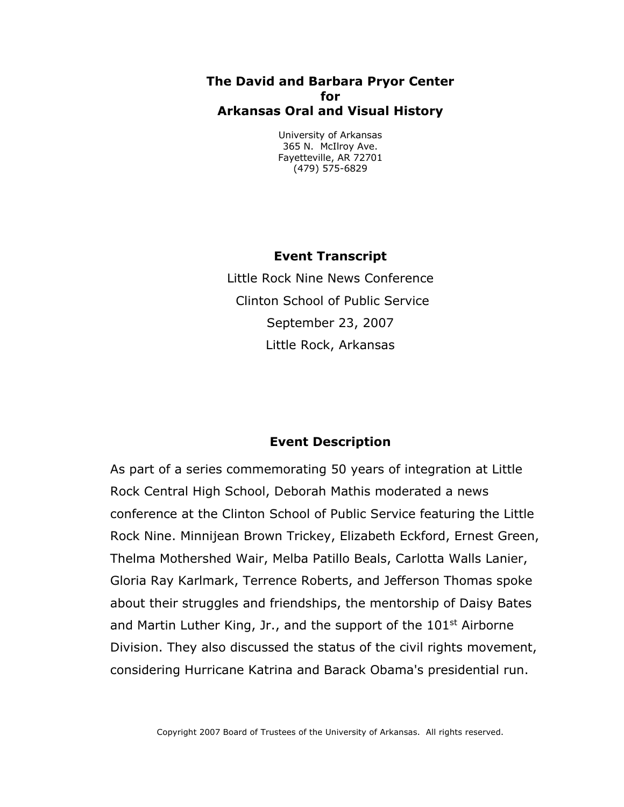## **The David and Barbara Pryor Center for Arkansas Oral and Visual History**

University of Arkansas 365 N. McIlroy Ave. Fayetteville, AR 72701 (479) 575-6829

## **Event Transcript**

Little Rock Nine News Conference Clinton School of Public Service September 23, 2007 Little Rock, Arkansas

## **Event Description**

As part of a series commemorating 50 years of integration at Little Rock Central High School, Deborah Mathis moderated a news conference at the Clinton School of Public Service featuring the Little Rock Nine. Minnijean Brown Trickey, Elizabeth Eckford, Ernest Green, Thelma Mothershed Wair, Melba Patillo Beals, Carlotta Walls Lanier, Gloria Ray Karlmark, Terrence Roberts, and Jefferson Thomas spoke about their struggles and friendships, the mentorship of Daisy Bates and Martin Luther King, Jr., and the support of the  $101<sup>st</sup>$  Airborne Division. They also discussed the status of the civil rights movement, considering Hurricane Katrina and Barack Obama's presidential run.

Copyright 2007 Board of Trustees of the University of Arkansas. All rights reserved.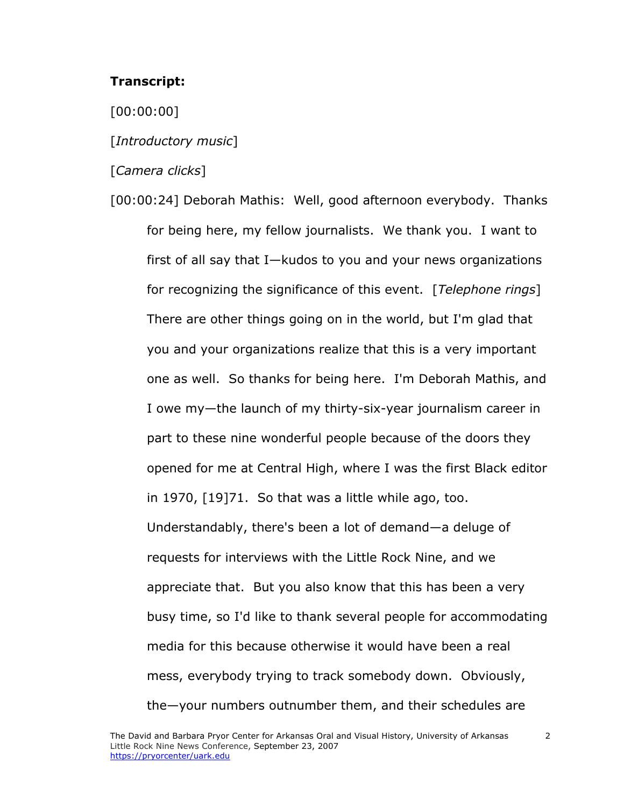## **Transcript:**

[00:00:00]

[*Introductory music*]

[*Camera clicks*]

[00:00:24] Deborah Mathis: Well, good afternoon everybody. Thanks for being here, my fellow journalists. We thank you. I want to first of all say that I—kudos to you and your news organizations for recognizing the significance of this event. [*Telephone rings*] There are other things going on in the world, but I'm glad that you and your organizations realize that this is a very important one as well. So thanks for being here. I'm Deborah Mathis, and I owe my—the launch of my thirty-six-year journalism career in part to these nine wonderful people because of the doors they opened for me at Central High, where I was the first Black editor in 1970, [19]71. So that was a little while ago, too. Understandably, there's been a lot of demand—a deluge of requests for interviews with the Little Rock Nine, and we appreciate that. But you also know that this has been a very busy time, so I'd like to thank several people for accommodating media for this because otherwise it would have been a real mess, everybody trying to track somebody down. Obviously, the—your numbers outnumber them, and their schedules are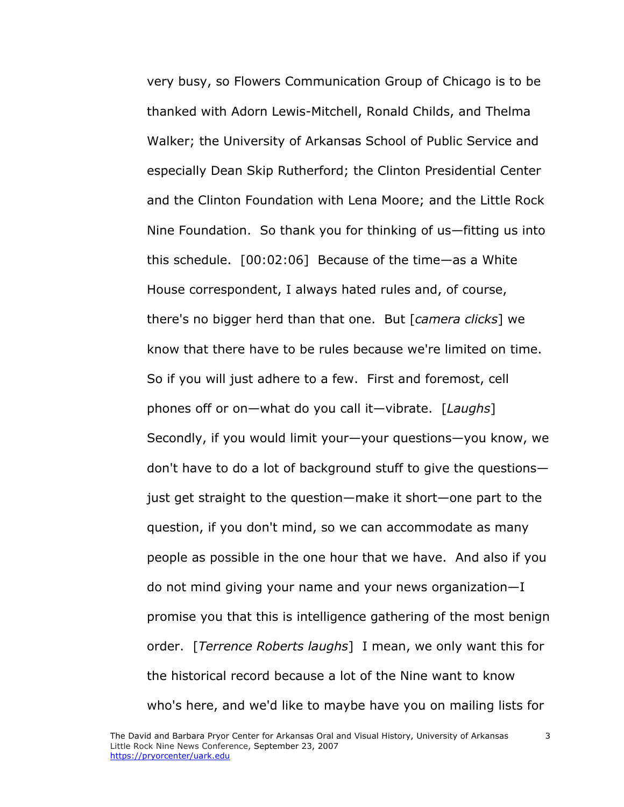very busy, so Flowers Communication Group of Chicago is to be thanked with Adorn Lewis-Mitchell, Ronald Childs, and Thelma Walker; the University of Arkansas School of Public Service and especially Dean Skip Rutherford; the Clinton Presidential Center and the Clinton Foundation with Lena Moore; and the Little Rock Nine Foundation. So thank you for thinking of us—fitting us into this schedule. [00:02:06] Because of the time—as a White House correspondent, I always hated rules and, of course, there's no bigger herd than that one. But [*camera clicks*] we know that there have to be rules because we're limited on time. So if you will just adhere to a few. First and foremost, cell phones off or on—what do you call it—vibrate. [*Laughs*] Secondly, if you would limit your—your questions—you know, we don't have to do a lot of background stuff to give the questions just get straight to the question—make it short—one part to the question, if you don't mind, so we can accommodate as many people as possible in the one hour that we have. And also if you do not mind giving your name and your news organization—I promise you that this is intelligence gathering of the most benign order. [*Terrence Roberts laughs*] I mean, we only want this for the historical record because a lot of the Nine want to know who's here, and we'd like to maybe have you on mailing lists for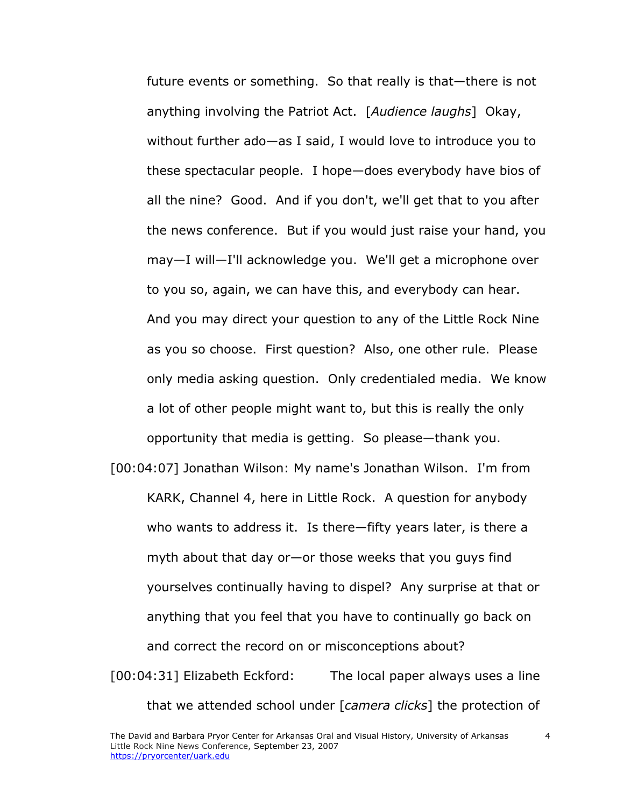future events or something. So that really is that—there is not anything involving the Patriot Act. [*Audience laughs*] Okay, without further ado—as I said, I would love to introduce you to these spectacular people. I hope—does everybody have bios of all the nine? Good. And if you don't, we'll get that to you after the news conference. But if you would just raise your hand, you may—I will—I'll acknowledge you. We'll get a microphone over to you so, again, we can have this, and everybody can hear. And you may direct your question to any of the Little Rock Nine as you so choose. First question? Also, one other rule. Please only media asking question. Only credentialed media. We know a lot of other people might want to, but this is really the only opportunity that media is getting. So please—thank you.

[00:04:07] Jonathan Wilson: My name's Jonathan Wilson. I'm from KARK, Channel 4, here in Little Rock. A question for anybody who wants to address it. Is there—fifty years later, is there a myth about that day or—or those weeks that you guys find yourselves continually having to dispel? Any surprise at that or anything that you feel that you have to continually go back on and correct the record on or misconceptions about? [00:04:31] Elizabeth Eckford: The local paper always uses a line that we attended school under [*camera clicks*] the protection of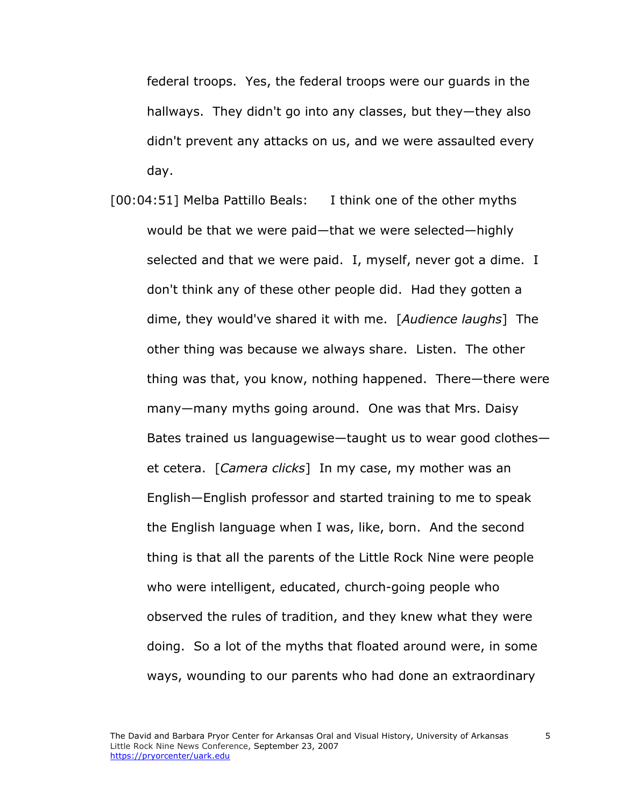federal troops. Yes, the federal troops were our guards in the hallways. They didn't go into any classes, but they—they also didn't prevent any attacks on us, and we were assaulted every day.

[00:04:51] Melba Pattillo Beals: I think one of the other myths would be that we were paid—that we were selected—highly selected and that we were paid. I, myself, never got a dime. I don't think any of these other people did. Had they gotten a dime, they would've shared it with me. [*Audience laughs*] The other thing was because we always share. Listen. The other thing was that, you know, nothing happened. There—there were many—many myths going around. One was that Mrs. Daisy Bates trained us languagewise—taught us to wear good clothes et cetera. [*Camera clicks*] In my case, my mother was an English—English professor and started training to me to speak the English language when I was, like, born. And the second thing is that all the parents of the Little Rock Nine were people who were intelligent, educated, church-going people who observed the rules of tradition, and they knew what they were doing. So a lot of the myths that floated around were, in some ways, wounding to our parents who had done an extraordinary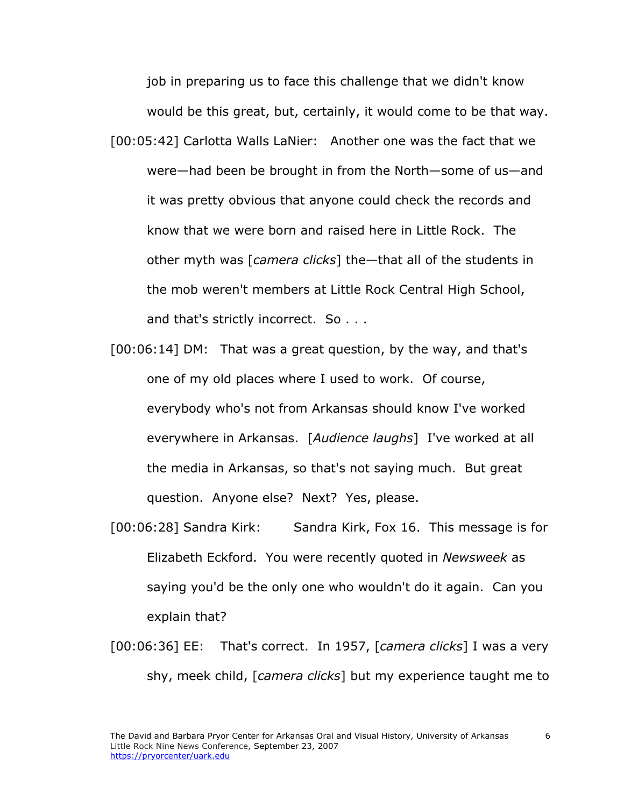job in preparing us to face this challenge that we didn't know would be this great, but, certainly, it would come to be that way. [00:05:42] Carlotta Walls LaNier: Another one was the fact that we were—had been be brought in from the North—some of us—and it was pretty obvious that anyone could check the records and know that we were born and raised here in Little Rock. The other myth was [*camera clicks*] the—that all of the students in the mob weren't members at Little Rock Central High School, and that's strictly incorrect. So . . .

- [00:06:14] DM: That was a great question, by the way, and that's one of my old places where I used to work. Of course, everybody who's not from Arkansas should know I've worked everywhere in Arkansas. [*Audience laughs*] I've worked at all the media in Arkansas, so that's not saying much. But great question. Anyone else? Next? Yes, please.
- [00:06:28] Sandra Kirk: Sandra Kirk, Fox 16. This message is for Elizabeth Eckford. You were recently quoted in *Newsweek* as saying you'd be the only one who wouldn't do it again. Can you explain that?
- [00:06:36] EE: That's correct. In 1957, [*camera clicks*] I was a very shy, meek child, [*camera clicks*] but my experience taught me to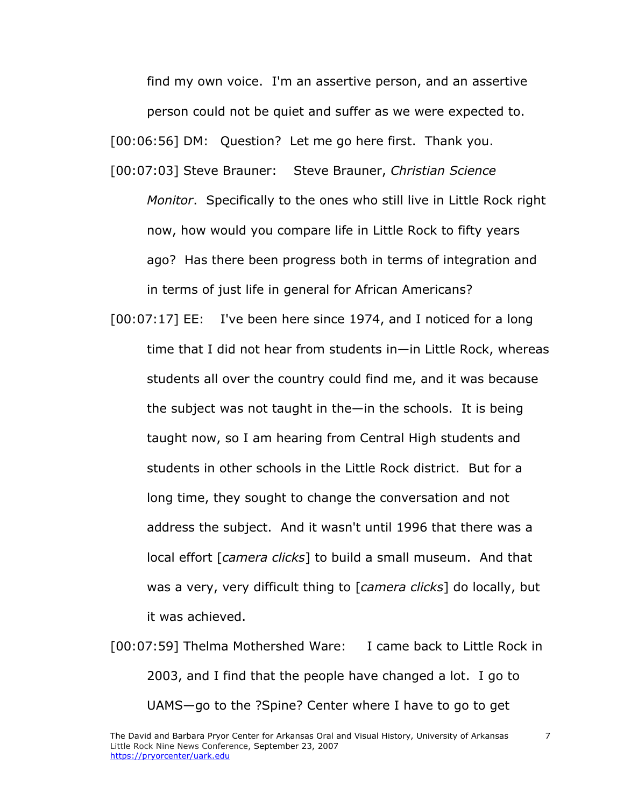find my own voice. I'm an assertive person, and an assertive person could not be quiet and suffer as we were expected to. [00:06:56] DM: Question? Let me go here first. Thank you. [00:07:03] Steve Brauner: Steve Brauner, *Christian Science Monitor*. Specifically to the ones who still live in Little Rock right now, how would you compare life in Little Rock to fifty years ago? Has there been progress both in terms of integration and

in terms of just life in general for African Americans?

- [00:07:17] EE: I've been here since 1974, and I noticed for a long time that I did not hear from students in—in Little Rock, whereas students all over the country could find me, and it was because the subject was not taught in the—in the schools. It is being taught now, so I am hearing from Central High students and students in other schools in the Little Rock district. But for a long time, they sought to change the conversation and not address the subject. And it wasn't until 1996 that there was a local effort [*camera clicks*] to build a small museum. And that was a very, very difficult thing to [*camera clicks*] do locally, but it was achieved.
- [00:07:59] Thelma Mothershed Ware: I came back to Little Rock in 2003, and I find that the people have changed a lot. I go to UAMS—go to the ?Spine? Center where I have to go to get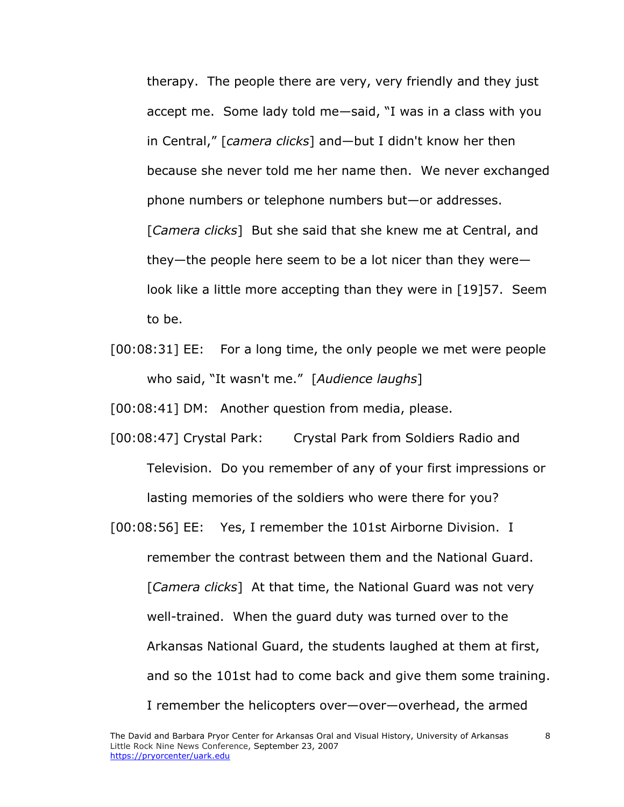therapy. The people there are very, very friendly and they just accept me. Some lady told me—said, "I was in a class with you in Central," [*camera clicks*] and—but I didn't know her then because she never told me her name then. We never exchanged phone numbers or telephone numbers but—or addresses. [*Camera clicks*] But she said that she knew me at Central, and they—the people here seem to be a lot nicer than they were look like a little more accepting than they were in [19]57. Seem to be.

[00:08:31] EE: For a long time, the only people we met were people who said, "It wasn't me." [*Audience laughs*]

[00:08:41] DM: Another question from media, please.

- [00:08:47] Crystal Park: Crystal Park from Soldiers Radio and Television. Do you remember of any of your first impressions or lasting memories of the soldiers who were there for you?
- [00:08:56] EE: Yes, I remember the 101st Airborne Division. I remember the contrast between them and the National Guard. [*Camera clicks*] At that time, the National Guard was not very well-trained. When the guard duty was turned over to the Arkansas National Guard, the students laughed at them at first, and so the 101st had to come back and give them some training. I remember the helicopters over—over—overhead, the armed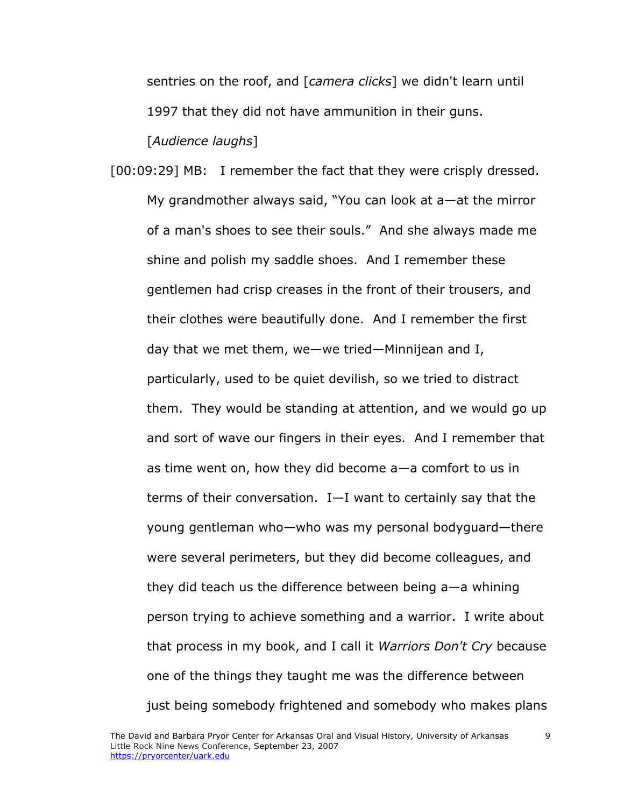sentries on the roof, and [*camera clicks*] we didn't learn until 1997 that they did not have ammunition in their guns. [*Audience laughs*]

[00:09:29] MB: I remember the fact that they were crisply dressed. My grandmother always said, "You can look at a—at the mirror of a man's shoes to see their souls." And she always made me shine and polish my saddle shoes. And I remember these gentlemen had crisp creases in the front of their trousers, and their clothes were beautifully done. And I remember the first day that we met them, we—we tried—Minnijean and I, particularly, used to be quiet devilish, so we tried to distract them. They would be standing at attention, and we would go up and sort of wave our fingers in their eyes. And I remember that as time went on, how they did become a—a comfort to us in terms of their conversation. I—I want to certainly say that the young gentleman who—who was my personal bodyguard—there were several perimeters, but they did become colleagues, and they did teach us the difference between being a—a whining person trying to achieve something and a warrior. I write about that process in my book, and I call it *Warriors Don't Cry* because one of the things they taught me was the difference between just being somebody frightened and somebody who makes plans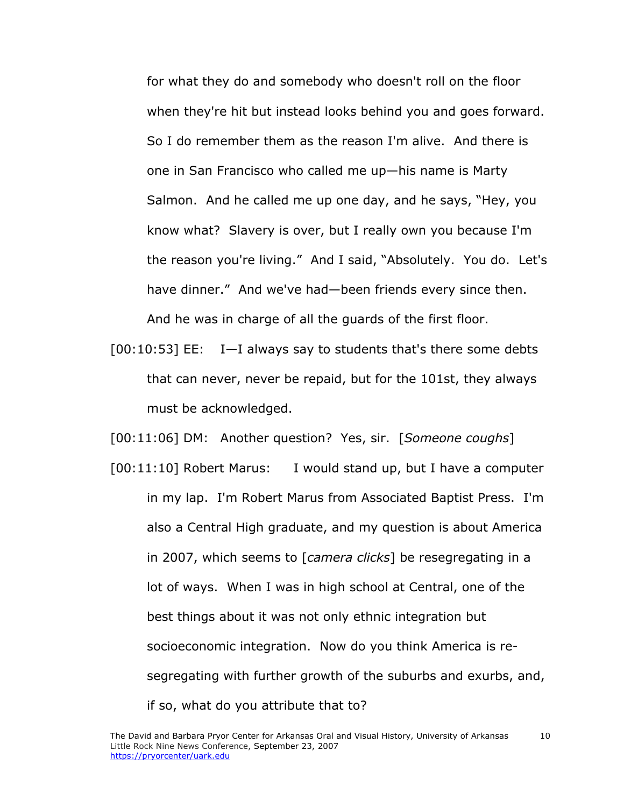for what they do and somebody who doesn't roll on the floor when they're hit but instead looks behind you and goes forward. So I do remember them as the reason I'm alive. And there is one in San Francisco who called me up—his name is Marty Salmon. And he called me up one day, and he says, "Hey, you know what? Slavery is over, but I really own you because I'm the reason you're living." And I said, "Absolutely. You do. Let's have dinner." And we've had—been friends every since then. And he was in charge of all the guards of the first floor.

[00:10:53] EE: I—I always say to students that's there some debts that can never, never be repaid, but for the 101st, they always must be acknowledged.

[00:11:06] DM: Another question? Yes, sir. [*Someone coughs*]

[00:11:10] Robert Marus: I would stand up, but I have a computer in my lap. I'm Robert Marus from Associated Baptist Press. I'm also a Central High graduate, and my question is about America in 2007, which seems to [*camera clicks*] be resegregating in a lot of ways. When I was in high school at Central, one of the best things about it was not only ethnic integration but socioeconomic integration. Now do you think America is resegregating with further growth of the suburbs and exurbs, and, if so, what do you attribute that to?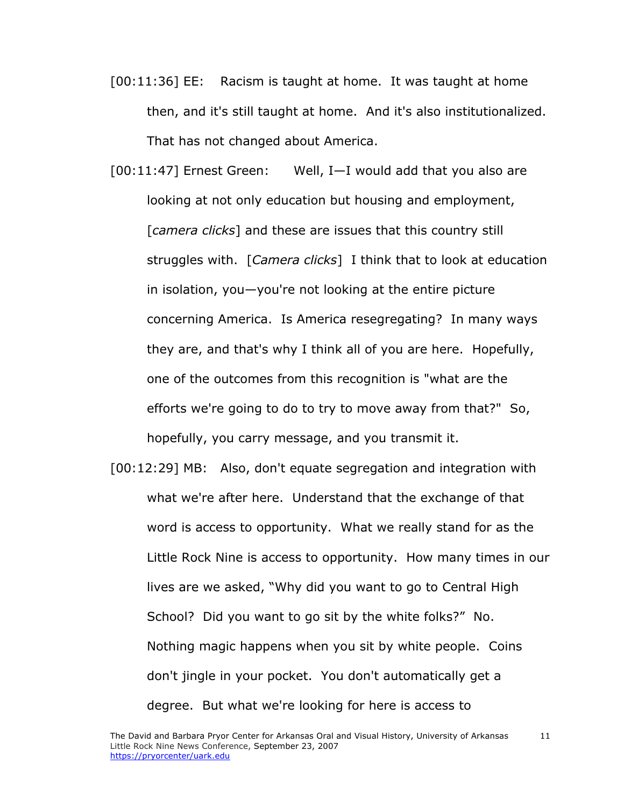- [00:11:36] EE: Racism is taught at home. It was taught at home then, and it's still taught at home. And it's also institutionalized. That has not changed about America.
- [00:11:47] Ernest Green: Well, I—I would add that you also are looking at not only education but housing and employment, [*camera clicks*] and these are issues that this country still struggles with. [*Camera clicks*] I think that to look at education in isolation, you—you're not looking at the entire picture concerning America. Is America resegregating? In many ways they are, and that's why I think all of you are here. Hopefully, one of the outcomes from this recognition is "what are the efforts we're going to do to try to move away from that?" So, hopefully, you carry message, and you transmit it.
- [00:12:29] MB: Also, don't equate segregation and integration with what we're after here. Understand that the exchange of that word is access to opportunity. What we really stand for as the Little Rock Nine is access to opportunity. How many times in our lives are we asked, "Why did you want to go to Central High School? Did you want to go sit by the white folks?" No. Nothing magic happens when you sit by white people. Coins don't jingle in your pocket. You don't automatically get a degree. But what we're looking for here is access to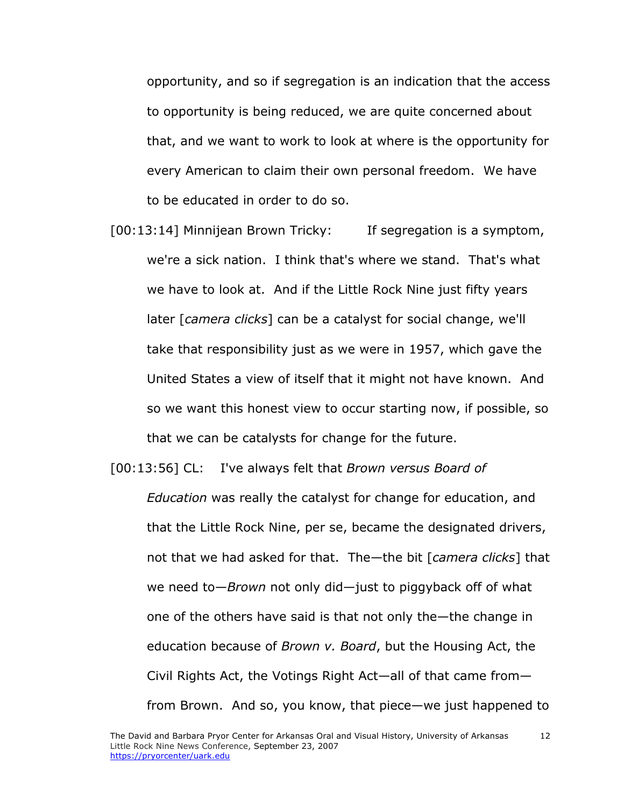opportunity, and so if segregation is an indication that the access to opportunity is being reduced, we are quite concerned about that, and we want to work to look at where is the opportunity for every American to claim their own personal freedom. We have to be educated in order to do so.

[00:13:14] Minnijean Brown Tricky: If segregation is a symptom, we're a sick nation. I think that's where we stand. That's what we have to look at. And if the Little Rock Nine just fifty years later [*camera clicks*] can be a catalyst for social change, we'll take that responsibility just as we were in 1957, which gave the United States a view of itself that it might not have known. And so we want this honest view to occur starting now, if possible, so that we can be catalysts for change for the future.

[00:13:56] CL: I've always felt that *Brown versus Board of* 

*Education* was really the catalyst for change for education, and that the Little Rock Nine, per se, became the designated drivers, not that we had asked for that. The—the bit [*camera clicks*] that we need to—*Brown* not only did—just to piggyback off of what one of the others have said is that not only the—the change in education because of *Brown v. Board*, but the Housing Act, the Civil Rights Act, the Votings Right Act—all of that came from from Brown. And so, you know, that piece—we just happened to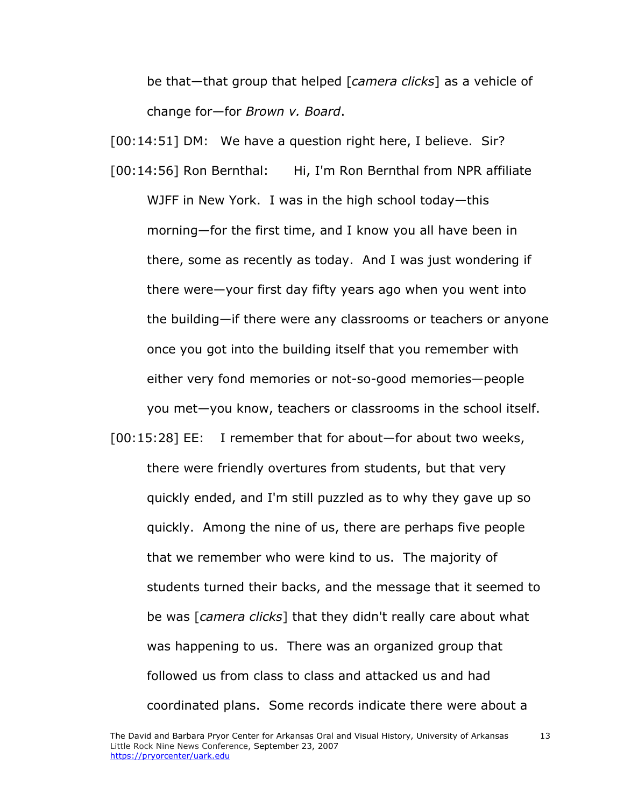be that—that group that helped [*camera clicks*] as a vehicle of change for—for *Brown v. Board*.

[00:14:51] DM: We have a question right here, I believe. Sir?

- [00:14:56] Ron Bernthal: Hi, I'm Ron Bernthal from NPR affiliate WJFF in New York. I was in the high school today—this morning—for the first time, and I know you all have been in there, some as recently as today. And I was just wondering if there were—your first day fifty years ago when you went into the building—if there were any classrooms or teachers or anyone once you got into the building itself that you remember with either very fond memories or not-so-good memories—people you met—you know, teachers or classrooms in the school itself.
- [00:15:28] EE: I remember that for about—for about two weeks, there were friendly overtures from students, but that very quickly ended, and I'm still puzzled as to why they gave up so quickly. Among the nine of us, there are perhaps five people that we remember who were kind to us. The majority of students turned their backs, and the message that it seemed to be was [*camera clicks*] that they didn't really care about what was happening to us. There was an organized group that followed us from class to class and attacked us and had coordinated plans. Some records indicate there were about a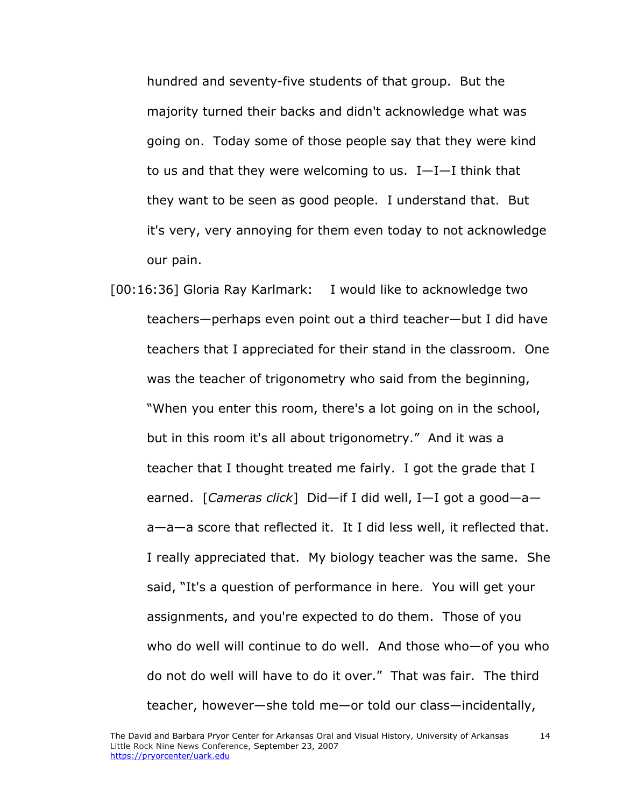hundred and seventy-five students of that group. But the majority turned their backs and didn't acknowledge what was going on. Today some of those people say that they were kind to us and that they were welcoming to us. I—I—I think that they want to be seen as good people. I understand that. But it's very, very annoying for them even today to not acknowledge our pain.

[00:16:36] Gloria Ray Karlmark: I would like to acknowledge two teachers—perhaps even point out a third teacher—but I did have teachers that I appreciated for their stand in the classroom. One was the teacher of trigonometry who said from the beginning, "When you enter this room, there's a lot going on in the school, but in this room it's all about trigonometry." And it was a teacher that I thought treated me fairly. I got the grade that I earned. [*Cameras click*] Did—if I did well, I—I got a good—a a—a—a score that reflected it. It I did less well, it reflected that. I really appreciated that. My biology teacher was the same. She said, "It's a question of performance in here. You will get your assignments, and you're expected to do them. Those of you who do well will continue to do well. And those who—of you who do not do well will have to do it over." That was fair. The third teacher, however—she told me—or told our class—incidentally,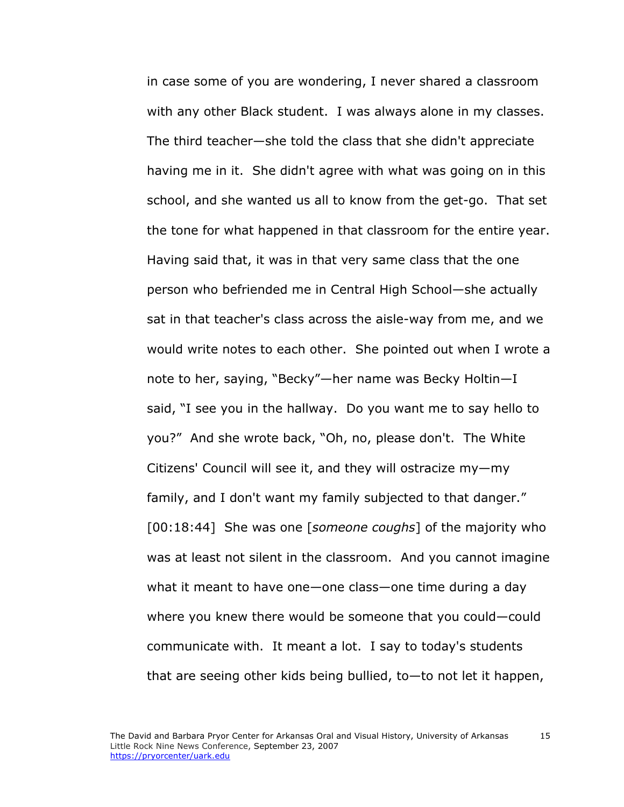in case some of you are wondering, I never shared a classroom with any other Black student. I was always alone in my classes. The third teacher—she told the class that she didn't appreciate having me in it. She didn't agree with what was going on in this school, and she wanted us all to know from the get-go. That set the tone for what happened in that classroom for the entire year. Having said that, it was in that very same class that the one person who befriended me in Central High School—she actually sat in that teacher's class across the aisle-way from me, and we would write notes to each other. She pointed out when I wrote a note to her, saying, "Becky"—her name was Becky Holtin—I said, "I see you in the hallway. Do you want me to say hello to you?" And she wrote back, "Oh, no, please don't. The White Citizens' Council will see it, and they will ostracize my—my family, and I don't want my family subjected to that danger." [00:18:44] She was one [*someone coughs*] of the majority who was at least not silent in the classroom. And you cannot imagine what it meant to have one—one class—one time during a day where you knew there would be someone that you could—could communicate with. It meant a lot. I say to today's students that are seeing other kids being bullied, to—to not let it happen,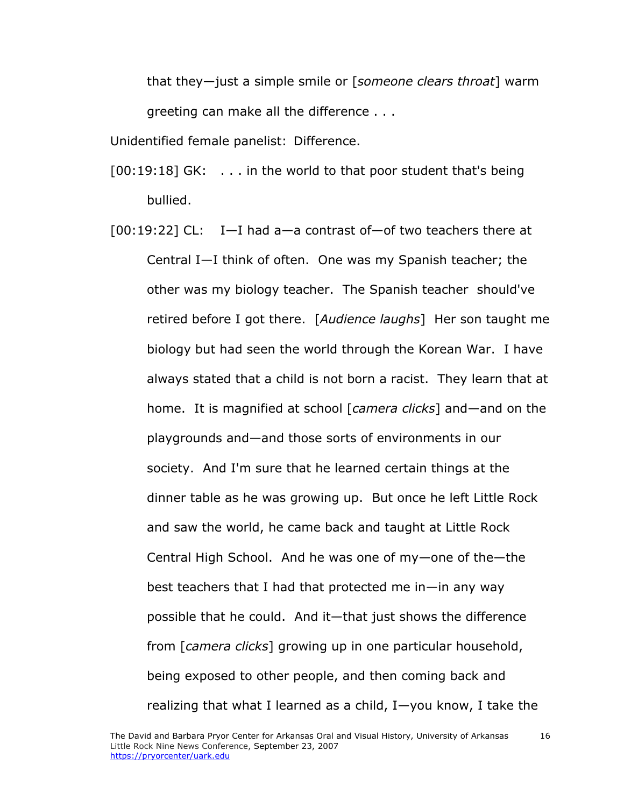that they—just a simple smile or [*someone clears throat*] warm greeting can make all the difference . . .

Unidentified female panelist: Difference.

- [00:19:18] GK: . . . in the world to that poor student that's being bullied.
- [00:19:22] CL: I—I had a—a contrast of—of two teachers there at Central I—I think of often. One was my Spanish teacher; the other was my biology teacher. The Spanish teacher should've retired before I got there. [*Audience laughs*] Her son taught me biology but had seen the world through the Korean War. I have always stated that a child is not born a racist. They learn that at home. It is magnified at school [*camera clicks*] and—and on the playgrounds and—and those sorts of environments in our society. And I'm sure that he learned certain things at the dinner table as he was growing up. But once he left Little Rock and saw the world, he came back and taught at Little Rock Central High School. And he was one of my—one of the—the best teachers that I had that protected me in—in any way possible that he could. And it—that just shows the difference from [*camera clicks*] growing up in one particular household, being exposed to other people, and then coming back and realizing that what I learned as a child, I—you know, I take the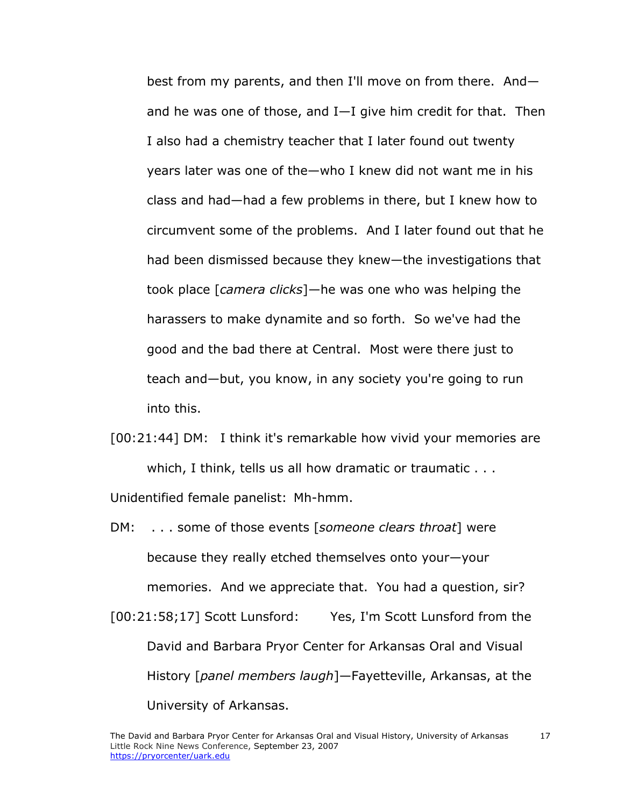best from my parents, and then I'll move on from there. And and he was one of those, and I—I give him credit for that. Then I also had a chemistry teacher that I later found out twenty years later was one of the—who I knew did not want me in his class and had—had a few problems in there, but I knew how to circumvent some of the problems. And I later found out that he had been dismissed because they knew—the investigations that took place [*camera clicks*]—he was one who was helping the harassers to make dynamite and so forth. So we've had the good and the bad there at Central. Most were there just to teach and—but, you know, in any society you're going to run into this.

[00:21:44] DM: I think it's remarkable how vivid your memories are which, I think, tells us all how dramatic or traumatic . . .

Unidentified female panelist: Mh-hmm.

DM: . . . some of those events [*someone clears throat*] were because they really etched themselves onto your—your memories. And we appreciate that. You had a question, sir? [00:21:58;17] Scott Lunsford: Yes, I'm Scott Lunsford from the David and Barbara Pryor Center for Arkansas Oral and Visual History [*panel members laugh*]—Fayetteville, Arkansas, at the

University of Arkansas.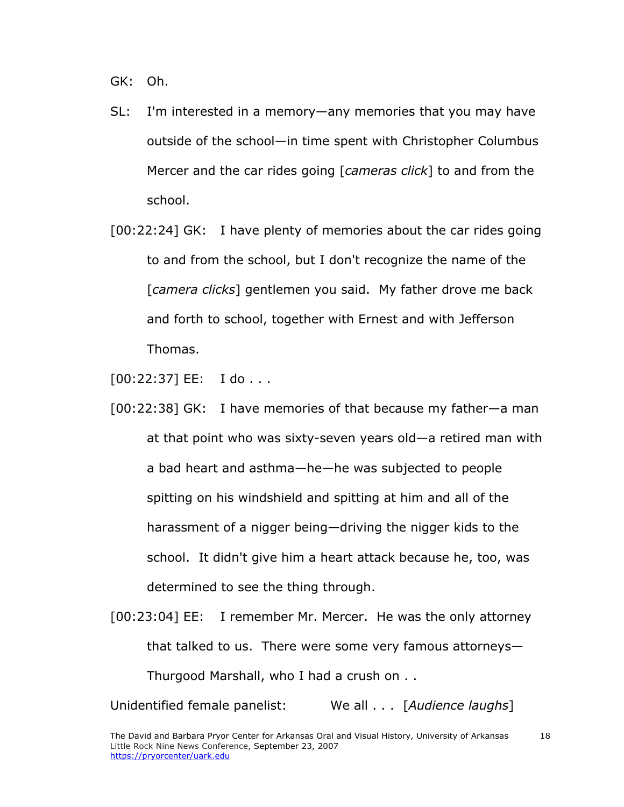GK: Oh.

- SL: I'm interested in a memory—any memories that you may have outside of the school—in time spent with Christopher Columbus Mercer and the car rides going [*cameras click*] to and from the school.
- [00:22:24] GK: I have plenty of memories about the car rides going to and from the school, but I don't recognize the name of the [*camera clicks*] gentlemen you said. My father drove me back and forth to school, together with Ernest and with Jefferson Thomas.

 $[00:22:37]$  EE: I do . . .

- [00:22:38] GK: I have memories of that because my father—a man at that point who was sixty-seven years old—a retired man with a bad heart and asthma—he—he was subjected to people spitting on his windshield and spitting at him and all of the harassment of a nigger being—driving the nigger kids to the school. It didn't give him a heart attack because he, too, was determined to see the thing through.
- [00:23:04] EE: I remember Mr. Mercer. He was the only attorney that talked to us. There were some very famous attorneys— Thurgood Marshall, who I had a crush on . .

Unidentified female panelist: We all . . . [*Audience laughs*]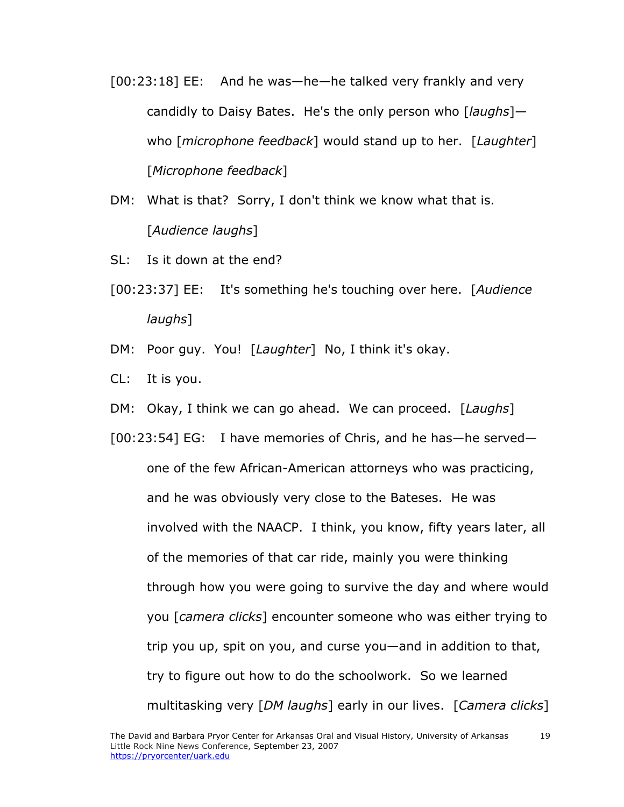[00:23:18] EE: And he was—he—he talked very frankly and very candidly to Daisy Bates. He's the only person who [*laughs*] who [*microphone feedback*] would stand up to her. [*Laughter*] [*Microphone feedback*]

DM: What is that? Sorry, I don't think we know what that is. [*Audience laughs*]

- SL: Is it down at the end?
- [00:23:37] EE: It's something he's touching over here. [*Audience laughs*]
- DM: Poor guy. You! [*Laughter*] No, I think it's okay.
- CL: It is you.
- DM: Okay, I think we can go ahead. We can proceed. [*Laughs*]

[00:23:54] EG: I have memories of Chris, and he has—he served one of the few African-American attorneys who was practicing, and he was obviously very close to the Bateses. He was involved with the NAACP. I think, you know, fifty years later, all of the memories of that car ride, mainly you were thinking through how you were going to survive the day and where would you [*camera clicks*] encounter someone who was either trying to trip you up, spit on you, and curse you—and in addition to that, try to figure out how to do the schoolwork. So we learned multitasking very [*DM laughs*] early in our lives. [*Camera clicks*]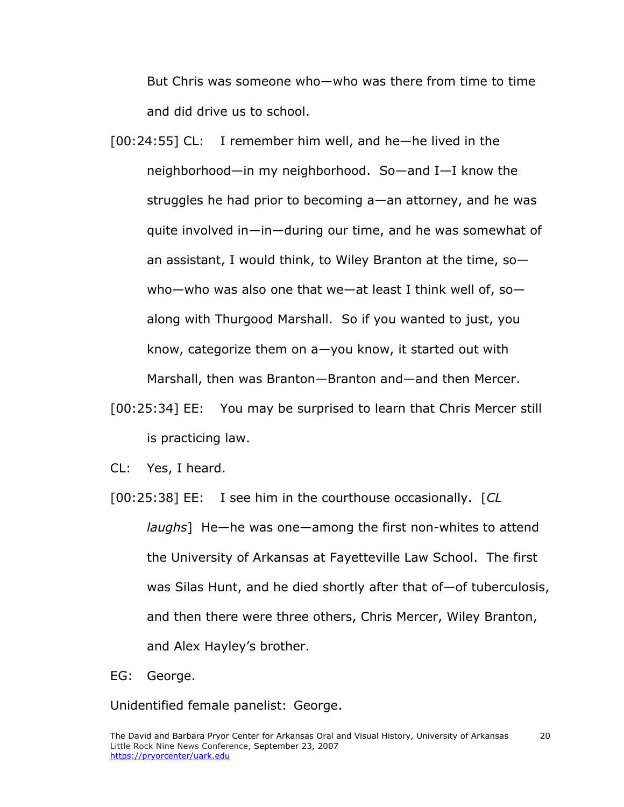But Chris was someone who—who was there from time to time and did drive us to school.

- [00:24:55] CL: I remember him well, and he—he lived in the neighborhood—in my neighborhood. So—and I—I know the struggles he had prior to becoming a—an attorney, and he was quite involved in—in—during our time, and he was somewhat of an assistant, I would think, to Wiley Branton at the time, so who—who was also one that we—at least I think well of, so along with Thurgood Marshall. So if you wanted to just, you know, categorize them on a—you know, it started out with Marshall, then was Branton—Branton and—and then Mercer.
- [00:25:34] EE: You may be surprised to learn that Chris Mercer still is practicing law.
- CL: Yes, I heard.
- [00:25:38] EE: I see him in the courthouse occasionally. [*CL laughs*] He—he was one—among the first non-whites to attend the University of Arkansas at Fayetteville Law School. The first was Silas Hunt, and he died shortly after that of—of tuberculosis, and then there were three others, Chris Mercer, Wiley Branton, and Alex Hayley's brother.
- EG: George.

Unidentified female panelist: George.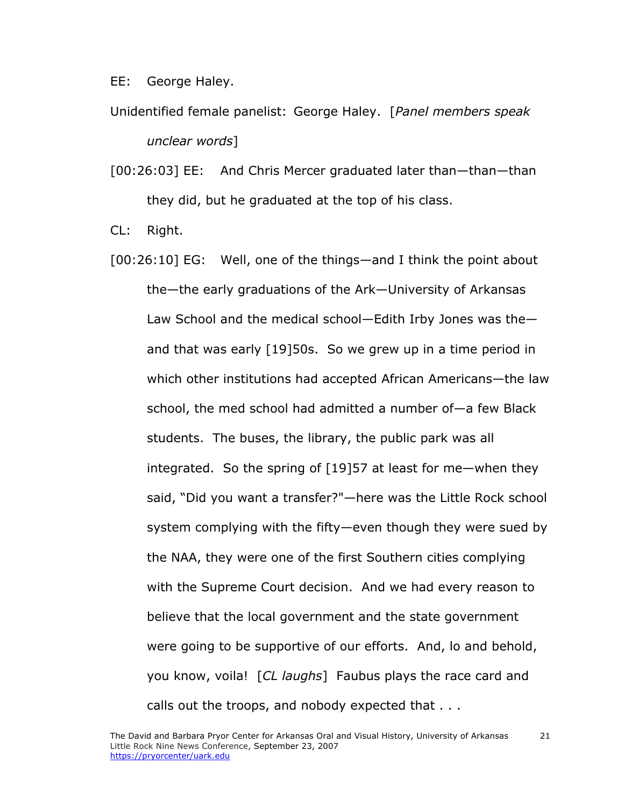EE: George Haley.

- Unidentified female panelist: George Haley. [*Panel members speak unclear words*]
- [00:26:03] EE: And Chris Mercer graduated later than—than—than they did, but he graduated at the top of his class.

CL: Right.

[00:26:10] EG: Well, one of the things—and I think the point about the—the early graduations of the Ark—University of Arkansas Law School and the medical school—Edith Irby Jones was the and that was early [19]50s. So we grew up in a time period in which other institutions had accepted African Americans—the law school, the med school had admitted a number of—a few Black students. The buses, the library, the public park was all integrated. So the spring of [19]57 at least for me—when they said, "Did you want a transfer?"—here was the Little Rock school system complying with the fifty—even though they were sued by the NAA, they were one of the first Southern cities complying with the Supreme Court decision. And we had every reason to believe that the local government and the state government were going to be supportive of our efforts. And, lo and behold, you know, voila! [*CL laughs*] Faubus plays the race card and calls out the troops, and nobody expected that . . .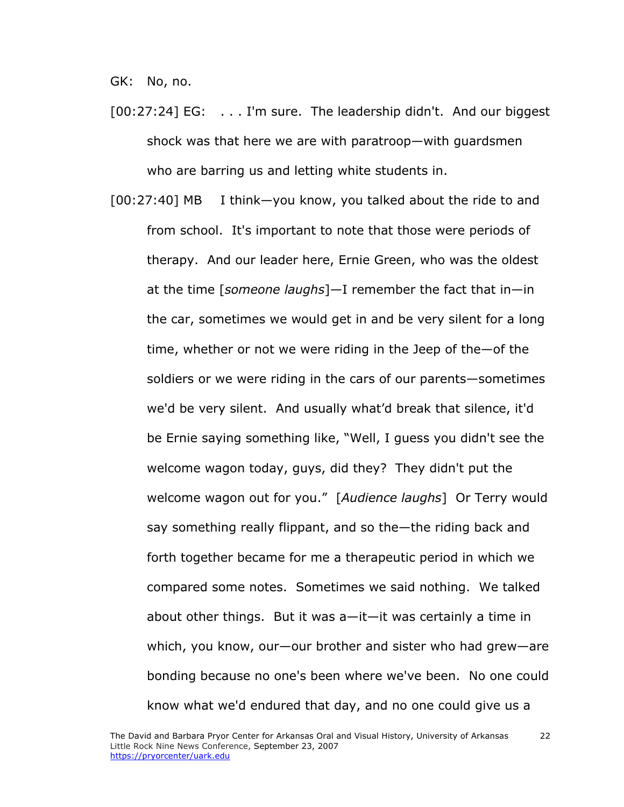GK: No, no.

- [00:27:24] EG: . . . I'm sure. The leadership didn't. And our biggest shock was that here we are with paratroop—with guardsmen who are barring us and letting white students in.
- [00:27:40] MB I think—you know, you talked about the ride to and from school. It's important to note that those were periods of therapy. And our leader here, Ernie Green, who was the oldest at the time [*someone laughs*]—I remember the fact that in—in the car, sometimes we would get in and be very silent for a long time, whether or not we were riding in the Jeep of the—of the soldiers or we were riding in the cars of our parents—sometimes we'd be very silent. And usually what'd break that silence, it'd be Ernie saying something like, "Well, I guess you didn't see the welcome wagon today, guys, did they? They didn't put the welcome wagon out for you." [*Audience laughs*] Or Terry would say something really flippant, and so the—the riding back and forth together became for me a therapeutic period in which we compared some notes. Sometimes we said nothing. We talked about other things. But it was a—it—it was certainly a time in which, you know, our—our brother and sister who had grew—are bonding because no one's been where we've been. No one could know what we'd endured that day, and no one could give us a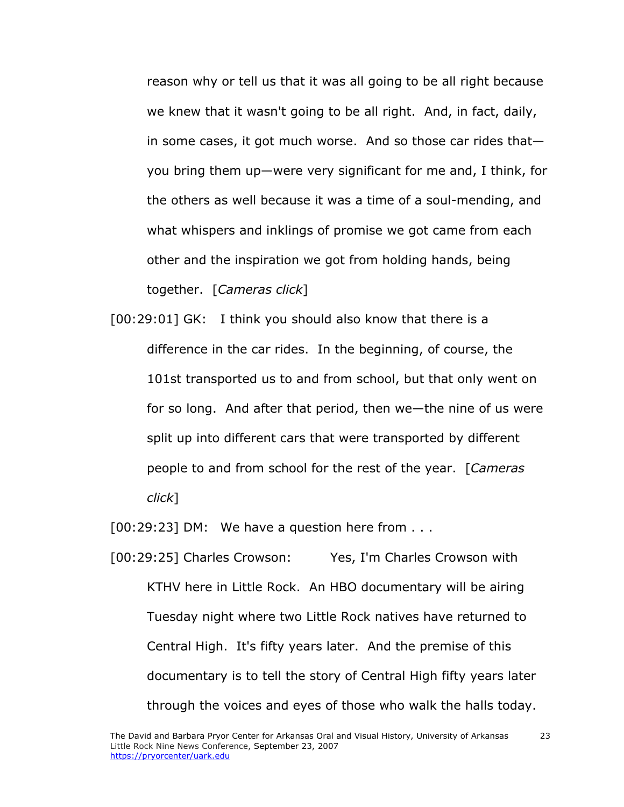reason why or tell us that it was all going to be all right because we knew that it wasn't going to be all right. And, in fact, daily, in some cases, it got much worse. And so those car rides that you bring them up—were very significant for me and, I think, for the others as well because it was a time of a soul-mending, and what whispers and inklings of promise we got came from each other and the inspiration we got from holding hands, being together. [*Cameras click*]

[00:29:01] GK: I think you should also know that there is a difference in the car rides. In the beginning, of course, the 101st transported us to and from school, but that only went on for so long. And after that period, then we—the nine of us were split up into different cars that were transported by different people to and from school for the rest of the year. [*Cameras click*]

 $[00:29:23]$  DM: We have a question here from  $\dots$ 

[00:29:25] Charles Crowson: Yes, I'm Charles Crowson with KTHV here in Little Rock. An HBO documentary will be airing Tuesday night where two Little Rock natives have returned to Central High. It's fifty years later. And the premise of this documentary is to tell the story of Central High fifty years later through the voices and eyes of those who walk the halls today.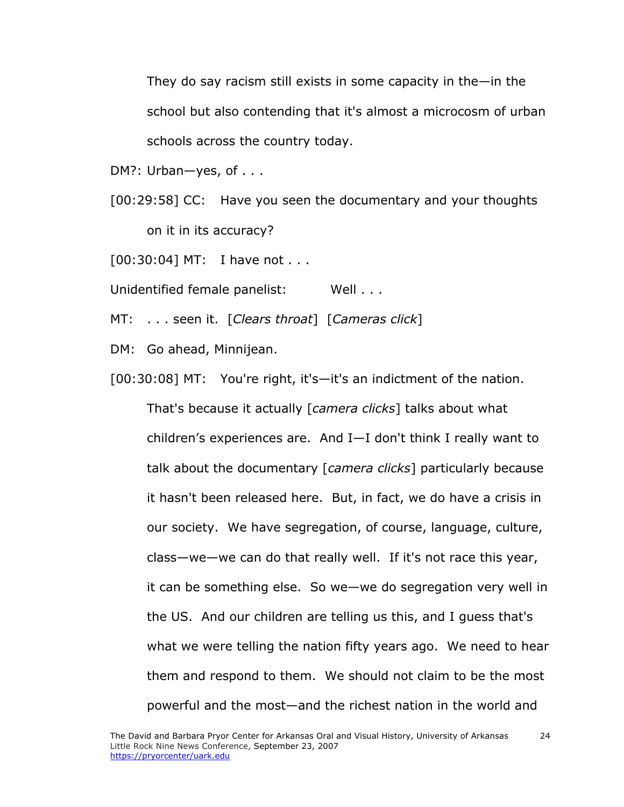They do say racism still exists in some capacity in the—in the school but also contending that it's almost a microcosm of urban schools across the country today.

DM?: Urban-yes, of . . .

[00:29:58] CC: Have you seen the documentary and your thoughts on it in its accuracy?

[00:30:04] MT: I have not . . .

Unidentified female panelist: Well . . .

MT: . . . seen it. [*Clears throat*] [*Cameras click*]

DM: Go ahead, Minnijean.

[00:30:08] MT: You're right, it's-it's an indictment of the nation.

That's because it actually [*camera clicks*] talks about what children's experiences are. And I—I don't think I really want to talk about the documentary [*camera clicks*] particularly because it hasn't been released here. But, in fact, we do have a crisis in our society. We have segregation, of course, language, culture, class—we—we can do that really well. If it's not race this year, it can be something else. So we—we do segregation very well in the US. And our children are telling us this, and I guess that's what we were telling the nation fifty years ago. We need to hear them and respond to them. We should not claim to be the most powerful and the most—and the richest nation in the world and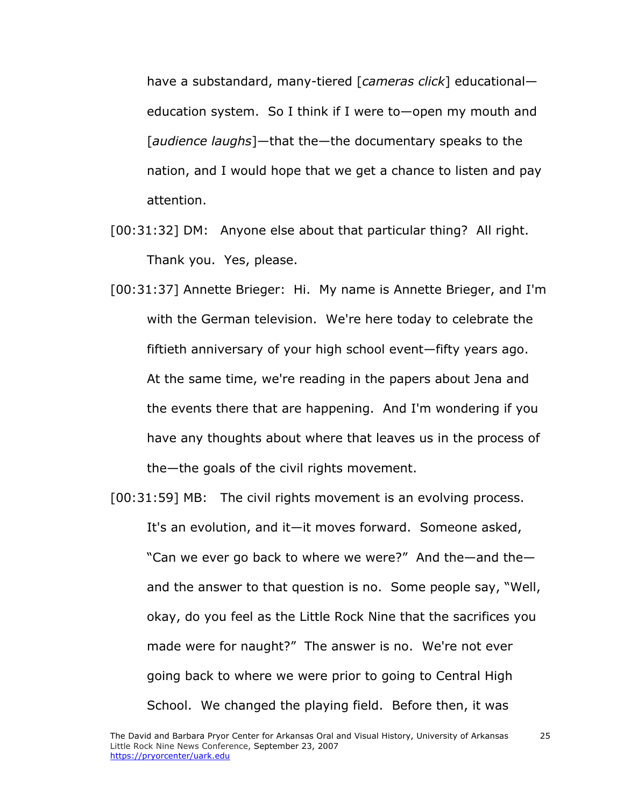have a substandard, many-tiered [*cameras click*] educational education system. So I think if I were to—open my mouth and [*audience laughs*]—that the—the documentary speaks to the nation, and I would hope that we get a chance to listen and pay attention.

- [00:31:32] DM: Anyone else about that particular thing? All right. Thank you. Yes, please.
- [00:31:37] Annette Brieger: Hi. My name is Annette Brieger, and I'm with the German television. We're here today to celebrate the fiftieth anniversary of your high school event—fifty years ago. At the same time, we're reading in the papers about Jena and the events there that are happening. And I'm wondering if you have any thoughts about where that leaves us in the process of the—the goals of the civil rights movement.

[00:31:59] MB: The civil rights movement is an evolving process. It's an evolution, and it—it moves forward. Someone asked, "Can we ever go back to where we were?" And the—and the and the answer to that question is no. Some people say, "Well, okay, do you feel as the Little Rock Nine that the sacrifices you made were for naught?" The answer is no. We're not ever going back to where we were prior to going to Central High School. We changed the playing field. Before then, it was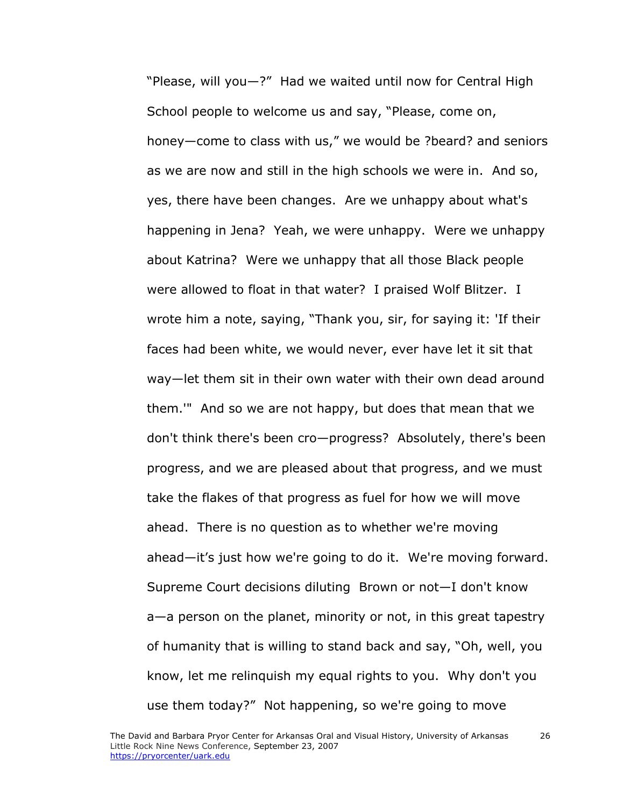"Please, will you—?" Had we waited until now for Central High School people to welcome us and say, "Please, come on, honey—come to class with us," we would be ?beard? and seniors as we are now and still in the high schools we were in. And so, yes, there have been changes. Are we unhappy about what's happening in Jena? Yeah, we were unhappy. Were we unhappy about Katrina? Were we unhappy that all those Black people were allowed to float in that water? I praised Wolf Blitzer. I wrote him a note, saying, "Thank you, sir, for saying it: 'If their faces had been white, we would never, ever have let it sit that way—let them sit in their own water with their own dead around them.'" And so we are not happy, but does that mean that we don't think there's been cro—progress? Absolutely, there's been progress, and we are pleased about that progress, and we must take the flakes of that progress as fuel for how we will move ahead. There is no question as to whether we're moving ahead—it's just how we're going to do it. We're moving forward. Supreme Court decisions diluting Brown or not—I don't know a—a person on the planet, minority or not, in this great tapestry of humanity that is willing to stand back and say, "Oh, well, you know, let me relinquish my equal rights to you. Why don't you use them today?" Not happening, so we're going to move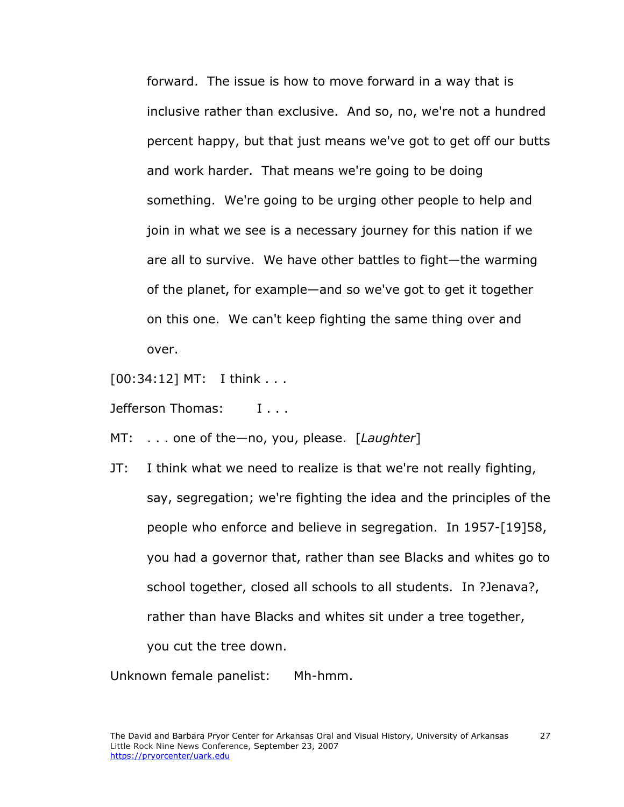forward. The issue is how to move forward in a way that is inclusive rather than exclusive. And so, no, we're not a hundred percent happy, but that just means we've got to get off our butts and work harder. That means we're going to be doing something. We're going to be urging other people to help and join in what we see is a necessary journey for this nation if we are all to survive. We have other battles to fight—the warming of the planet, for example—and so we've got to get it together on this one. We can't keep fighting the same thing over and over.

[00:34:12] MT: I think . . .

Jefferson Thomas: I . . .

MT: . . . one of the—no, you, please. [*Laughter*]

JT: I think what we need to realize is that we're not really fighting, say, segregation; we're fighting the idea and the principles of the people who enforce and believe in segregation. In 1957-[19]58, you had a governor that, rather than see Blacks and whites go to school together, closed all schools to all students. In ?Jenava?, rather than have Blacks and whites sit under a tree together, you cut the tree down.

Unknown female panelist: Mh-hmm.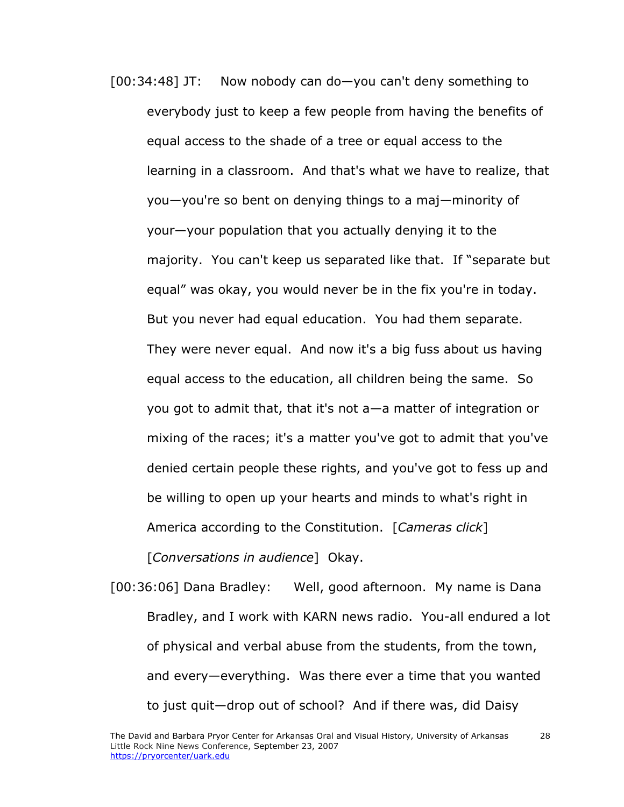[00:34:48] JT: Now nobody can do—you can't deny something to everybody just to keep a few people from having the benefits of equal access to the shade of a tree or equal access to the learning in a classroom. And that's what we have to realize, that you—you're so bent on denying things to a maj—minority of your—your population that you actually denying it to the majority. You can't keep us separated like that. If "separate but equal" was okay, you would never be in the fix you're in today. But you never had equal education. You had them separate. They were never equal. And now it's a big fuss about us having equal access to the education, all children being the same. So you got to admit that, that it's not a—a matter of integration or mixing of the races; it's a matter you've got to admit that you've denied certain people these rights, and you've got to fess up and be willing to open up your hearts and minds to what's right in America according to the Constitution. [*Cameras click*]

[*Conversations in audience*] Okay.

[00:36:06] Dana Bradley: Well, good afternoon. My name is Dana Bradley, and I work with KARN news radio. You-all endured a lot of physical and verbal abuse from the students, from the town, and every—everything. Was there ever a time that you wanted to just quit—drop out of school? And if there was, did Daisy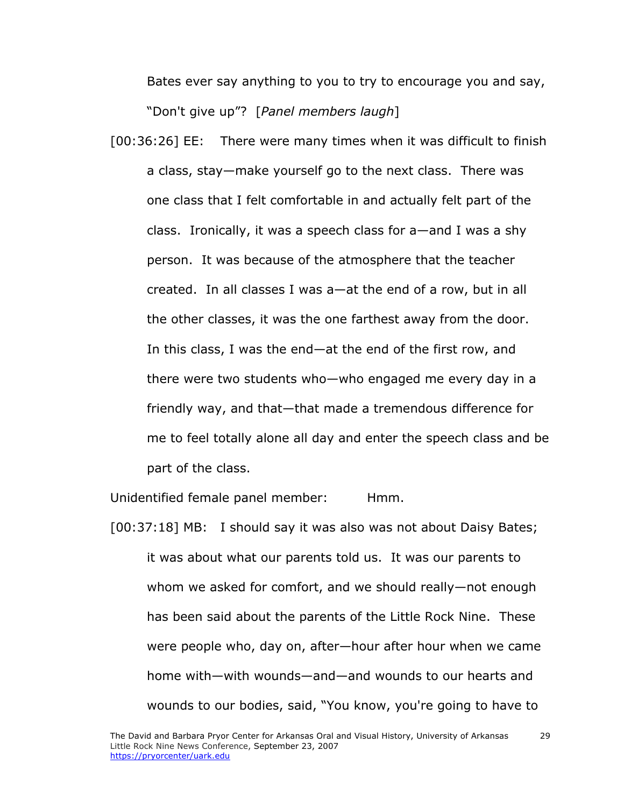Bates ever say anything to you to try to encourage you and say, "Don't give up"? [*Panel members laugh*]

[00:36:26] EE: There were many times when it was difficult to finish a class, stay—make yourself go to the next class. There was one class that I felt comfortable in and actually felt part of the class. Ironically, it was a speech class for a—and I was a shy person. It was because of the atmosphere that the teacher created. In all classes I was a—at the end of a row, but in all the other classes, it was the one farthest away from the door. In this class, I was the end—at the end of the first row, and there were two students who—who engaged me every day in a friendly way, and that—that made a tremendous difference for me to feel totally alone all day and enter the speech class and be part of the class.

Unidentified female panel member: Hmm.

[00:37:18] MB: I should say it was also was not about Daisy Bates; it was about what our parents told us. It was our parents to whom we asked for comfort, and we should really—not enough has been said about the parents of the Little Rock Nine. These were people who, day on, after—hour after hour when we came home with—with wounds—and—and wounds to our hearts and wounds to our bodies, said, "You know, you're going to have to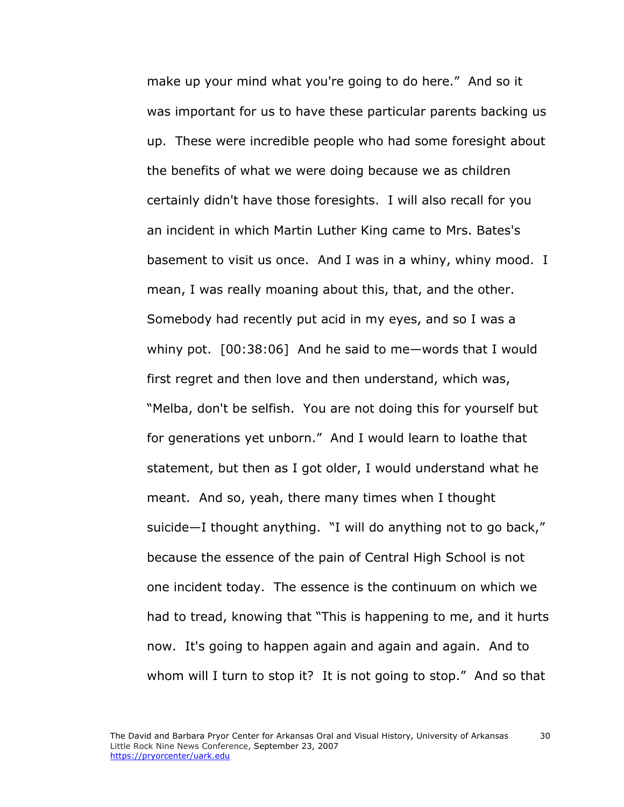make up your mind what you're going to do here." And so it was important for us to have these particular parents backing us up. These were incredible people who had some foresight about the benefits of what we were doing because we as children certainly didn't have those foresights. I will also recall for you an incident in which Martin Luther King came to Mrs. Bates's basement to visit us once. And I was in a whiny, whiny mood. I mean, I was really moaning about this, that, and the other. Somebody had recently put acid in my eyes, and so I was a whiny pot. [00:38:06] And he said to me—words that I would first regret and then love and then understand, which was, "Melba, don't be selfish. You are not doing this for yourself but for generations yet unborn." And I would learn to loathe that statement, but then as I got older, I would understand what he meant. And so, yeah, there many times when I thought suicide—I thought anything. "I will do anything not to go back," because the essence of the pain of Central High School is not one incident today. The essence is the continuum on which we had to tread, knowing that "This is happening to me, and it hurts now. It's going to happen again and again and again. And to whom will I turn to stop it? It is not going to stop." And so that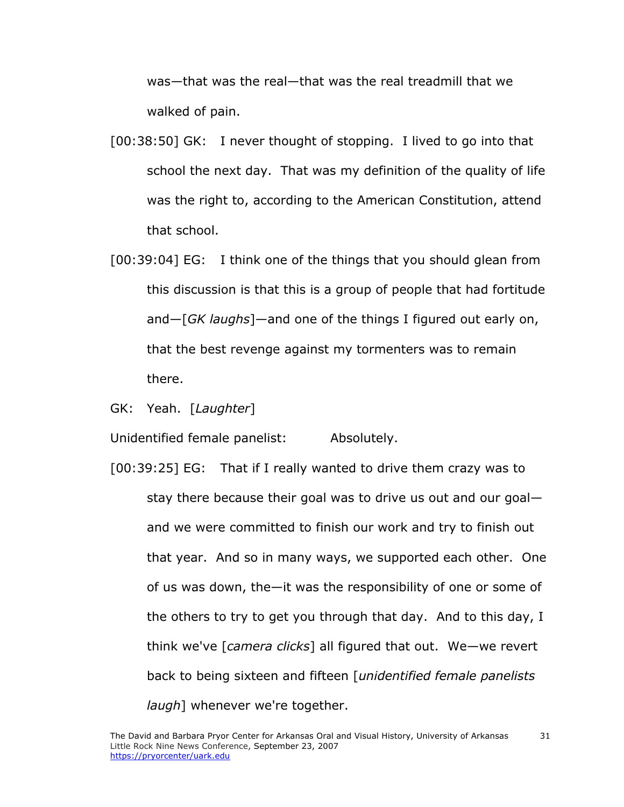was—that was the real—that was the real treadmill that we walked of pain.

- [00:38:50] GK: I never thought of stopping. I lived to go into that school the next day. That was my definition of the quality of life was the right to, according to the American Constitution, attend that school.
- [00:39:04] EG: I think one of the things that you should glean from this discussion is that this is a group of people that had fortitude and—[*GK laughs*]—and one of the things I figured out early on, that the best revenge against my tormenters was to remain there.
- GK: Yeah. [*Laughter*]

Unidentified female panelist: Absolutely.

[00:39:25] EG: That if I really wanted to drive them crazy was to stay there because their goal was to drive us out and our goal and we were committed to finish our work and try to finish out that year. And so in many ways, we supported each other. One of us was down, the—it was the responsibility of one or some of the others to try to get you through that day. And to this day, I think we've [*camera clicks*] all figured that out. We—we revert back to being sixteen and fifteen [*unidentified female panelists laugh*] whenever we're together.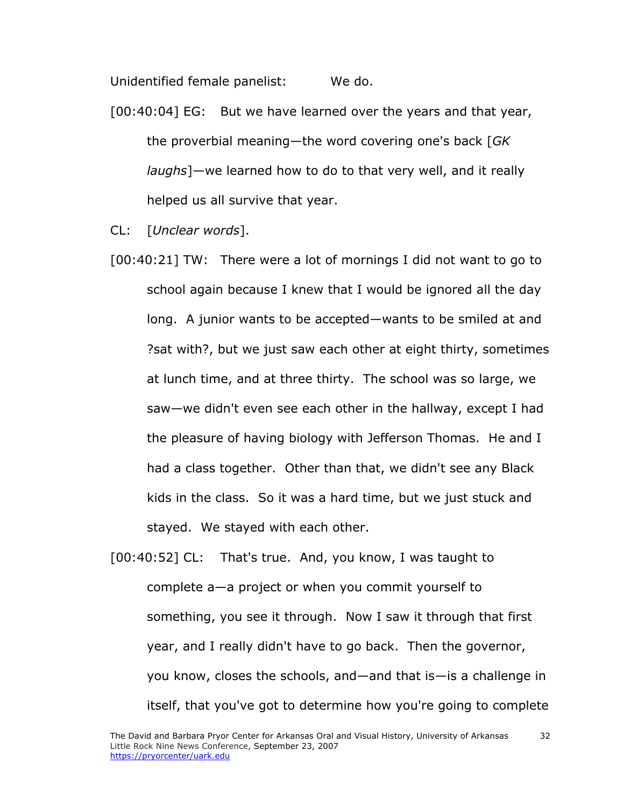Unidentified female panelist: We do.

- [00:40:04] EG: But we have learned over the years and that year, the proverbial meaning—the word covering one's back [*GK laughs*]—we learned how to do to that very well, and it really helped us all survive that year.
- CL: [*Unclear words*].
- [00:40:21] TW: There were a lot of mornings I did not want to go to school again because I knew that I would be ignored all the day long. A junior wants to be accepted—wants to be smiled at and ?sat with?, but we just saw each other at eight thirty, sometimes at lunch time, and at three thirty. The school was so large, we saw—we didn't even see each other in the hallway, except I had the pleasure of having biology with Jefferson Thomas. He and I had a class together. Other than that, we didn't see any Black kids in the class. So it was a hard time, but we just stuck and stayed. We stayed with each other.
- [00:40:52] CL: That's true. And, you know, I was taught to complete a—a project or when you commit yourself to something, you see it through. Now I saw it through that first year, and I really didn't have to go back. Then the governor, you know, closes the schools, and—and that is—is a challenge in itself, that you've got to determine how you're going to complete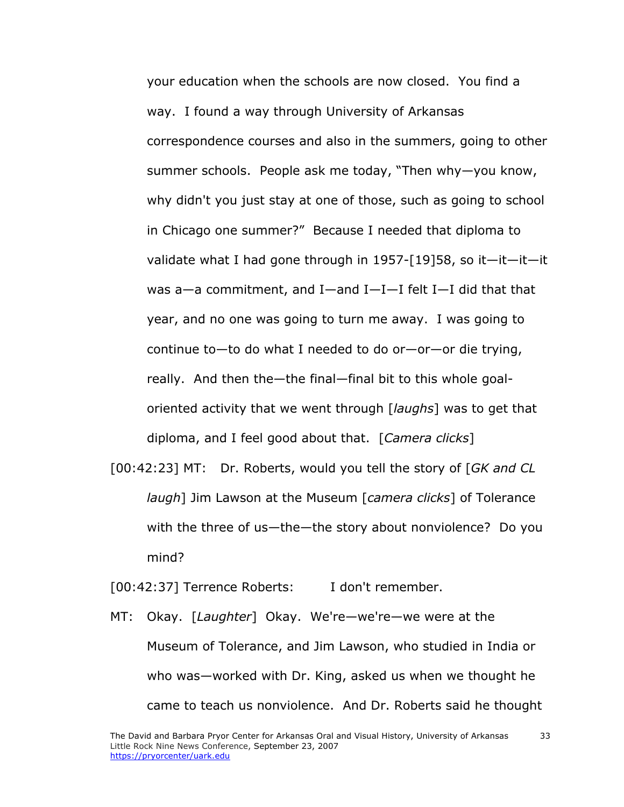your education when the schools are now closed. You find a way. I found a way through University of Arkansas correspondence courses and also in the summers, going to other summer schools. People ask me today, "Then why—you know, why didn't you just stay at one of those, such as going to school in Chicago one summer?" Because I needed that diploma to validate what I had gone through in 1957-[19]58, so it—it—it—it was a—a commitment, and I—and I—I—I felt I—I did that that year, and no one was going to turn me away. I was going to continue to—to do what I needed to do or—or—or die trying, really. And then the—the final—final bit to this whole goaloriented activity that we went through [*laughs*] was to get that diploma, and I feel good about that. [*Camera clicks*]

[00:42:23] MT: Dr. Roberts, would you tell the story of [*GK and CL laugh*] Jim Lawson at the Museum [*camera clicks*] of Tolerance with the three of us—the—the story about nonviolence? Do you mind?

[00:42:37] Terrence Roberts: I don't remember.

MT: Okay. [*Laughter*] Okay. We're—we're—we were at the Museum of Tolerance, and Jim Lawson, who studied in India or who was—worked with Dr. King, asked us when we thought he came to teach us nonviolence. And Dr. Roberts said he thought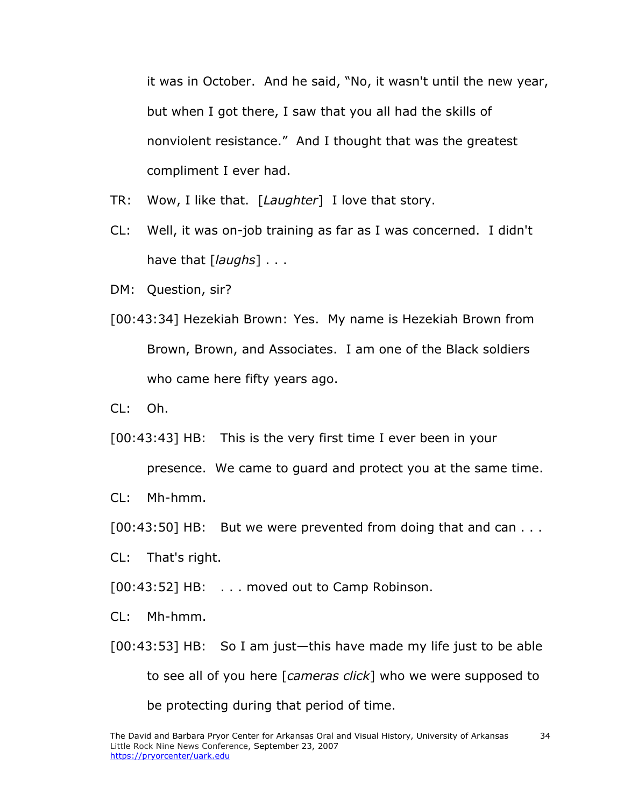it was in October. And he said, "No, it wasn't until the new year, but when I got there, I saw that you all had the skills of nonviolent resistance." And I thought that was the greatest compliment I ever had.

- TR: Wow, I like that. [*Laughter*] I love that story.
- CL: Well, it was on-job training as far as I was concerned. I didn't have that [*laughs*] . . .
- DM: Question, sir?
- [00:43:34] Hezekiah Brown: Yes. My name is Hezekiah Brown from Brown, Brown, and Associates. I am one of the Black soldiers who came here fifty years ago.
- $Cl: Oh.$

[00:43:43] HB: This is the very first time I ever been in your

presence. We came to guard and protect you at the same time.

- CL: Mh-hmm.
- [00:43:50] HB: But we were prevented from doing that and can . . .
- CL: That's right.
- [00:43:52] HB: . . . moved out to Camp Robinson.
- CL: Mh-hmm.
- [00:43:53] HB: So I am just—this have made my life just to be able to see all of you here [*cameras click*] who we were supposed to be protecting during that period of time.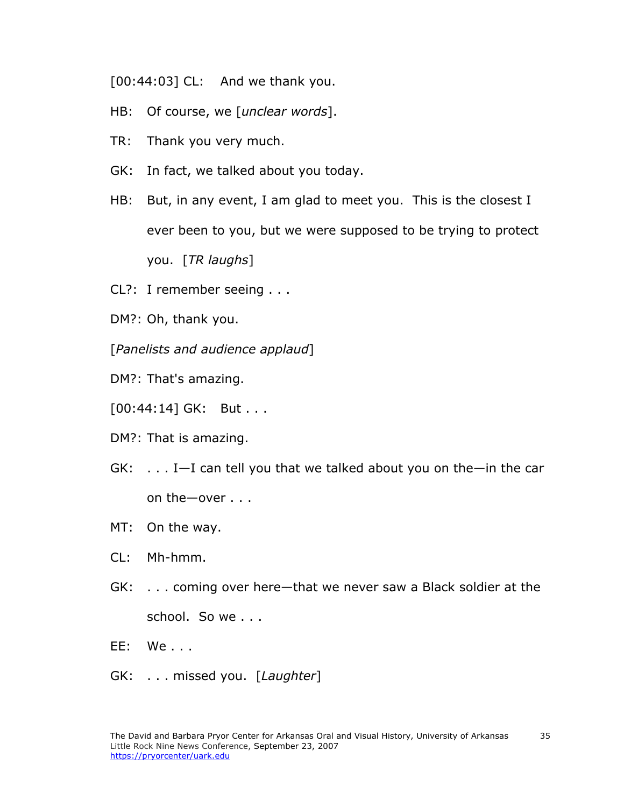[00:44:03] CL: And we thank you.

- HB: Of course, we [*unclear words*].
- TR: Thank you very much.
- GK: In fact, we talked about you today.
- HB: But, in any event, I am glad to meet you. This is the closest I ever been to you, but we were supposed to be trying to protect you. [*TR laughs*]
- CL?: I remember seeing . . .
- DM?: Oh, thank you.
- [*Panelists and audience applaud*]
- DM?: That's amazing.
- [00:44:14] GK: But . . .
- DM?: That is amazing.
- GK: . . . I—I can tell you that we talked about you on the—in the car on the—over . . .
- MT: On the way.
- CL: Mh-hmm.
- GK: . . . coming over here—that we never saw a Black soldier at the school. So we . . .
- EE: We . . .
- GK: . . . missed you. [*Laughter*]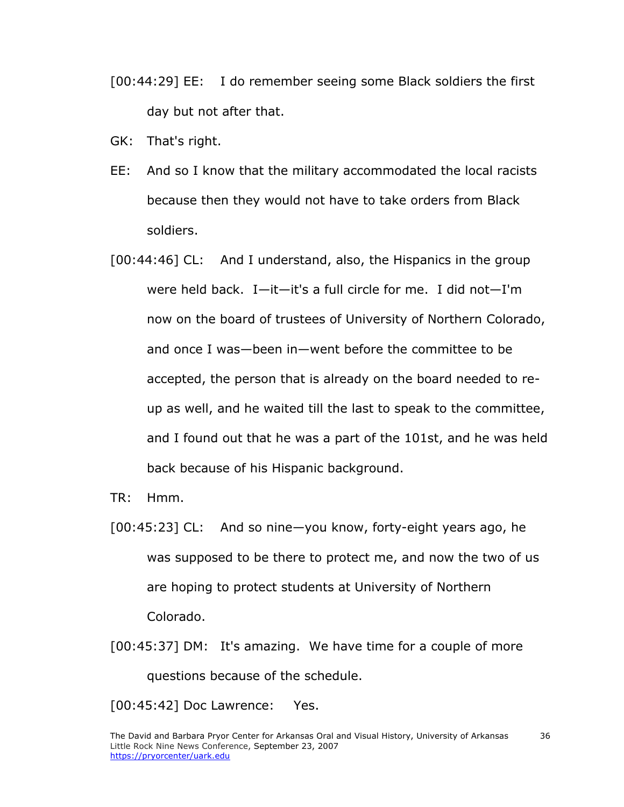- [00:44:29] EE: I do remember seeing some Black soldiers the first day but not after that.
- GK: That's right.
- EE: And so I know that the military accommodated the local racists because then they would not have to take orders from Black soldiers.
- [00:44:46] CL: And I understand, also, the Hispanics in the group were held back. I—it—it's a full circle for me. I did not—I'm now on the board of trustees of University of Northern Colorado, and once I was—been in—went before the committee to be accepted, the person that is already on the board needed to reup as well, and he waited till the last to speak to the committee, and I found out that he was a part of the 101st, and he was held back because of his Hispanic background.
- TR: Hmm.
- [00:45:23] CL: And so nine—you know, forty-eight years ago, he was supposed to be there to protect me, and now the two of us are hoping to protect students at University of Northern Colorado.
- [00:45:37] DM: It's amazing. We have time for a couple of more questions because of the schedule.

[00:45:42] Doc Lawrence: Yes.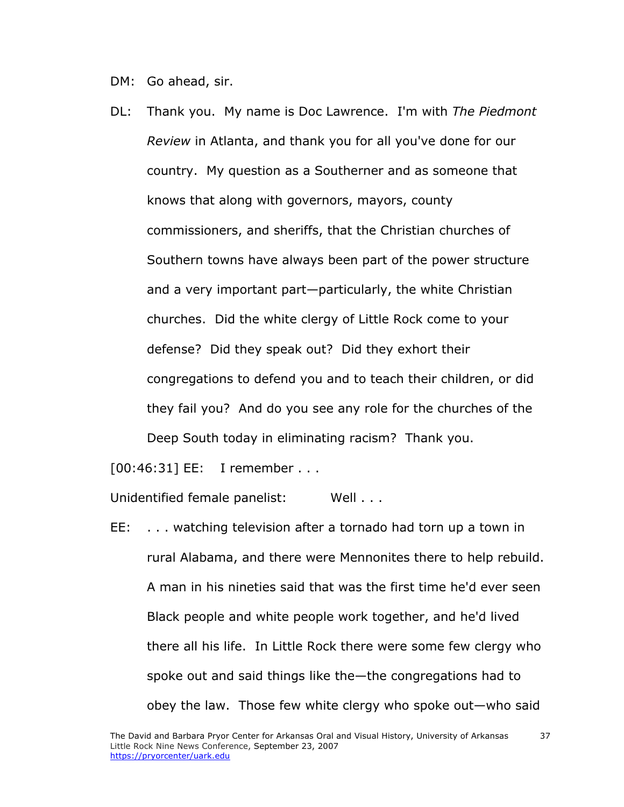DM: Go ahead, sir.

DL: Thank you. My name is Doc Lawrence. I'm with *The Piedmont Review* in Atlanta, and thank you for all you've done for our country. My question as a Southerner and as someone that knows that along with governors, mayors, county commissioners, and sheriffs, that the Christian churches of Southern towns have always been part of the power structure and a very important part—particularly, the white Christian churches. Did the white clergy of Little Rock come to your defense? Did they speak out? Did they exhort their congregations to defend you and to teach their children, or did they fail you? And do you see any role for the churches of the Deep South today in eliminating racism? Thank you.

[00:46:31] EE: I remember . . .

Unidentified female panelist: Well . . .

EE: . . . watching television after a tornado had torn up a town in rural Alabama, and there were Mennonites there to help rebuild. A man in his nineties said that was the first time he'd ever seen Black people and white people work together, and he'd lived there all his life. In Little Rock there were some few clergy who spoke out and said things like the—the congregations had to obey the law. Those few white clergy who spoke out—who said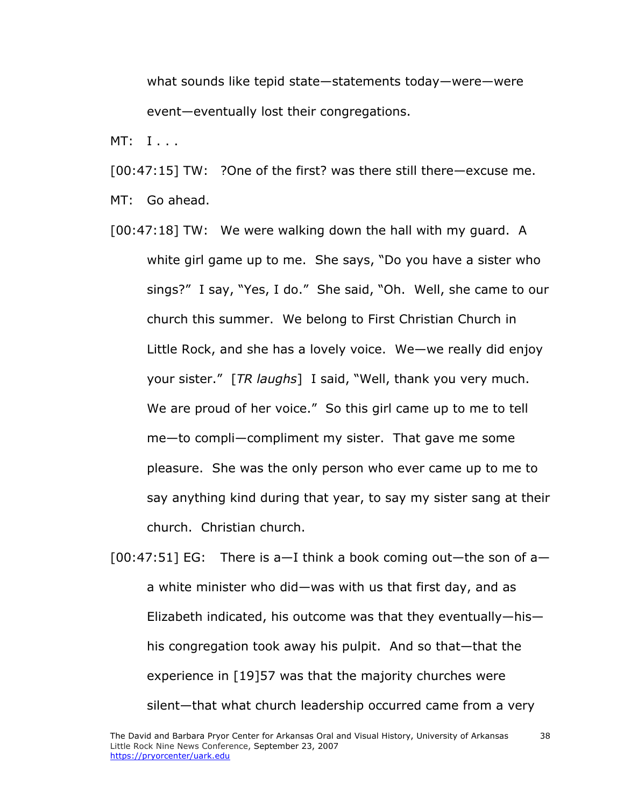what sounds like tepid state—statements today—were—were event—eventually lost their congregations.

MT: I . . .

[00:47:15] TW: ?One of the first? was there still there—excuse me.

MT: Go ahead.

- [00:47:18] TW: We were walking down the hall with my guard. A white girl game up to me. She says, "Do you have a sister who sings?" I say, "Yes, I do." She said, "Oh. Well, she came to our church this summer. We belong to First Christian Church in Little Rock, and she has a lovely voice. We—we really did enjoy your sister." [*TR laughs*] I said, "Well, thank you very much. We are proud of her voice." So this girl came up to me to tell me—to compli—compliment my sister. That gave me some pleasure. She was the only person who ever came up to me to say anything kind during that year, to say my sister sang at their church. Christian church.
- $[00:47:51]$  EG: There is a-I think a book coming out-the son of aa white minister who did—was with us that first day, and as Elizabeth indicated, his outcome was that they eventually—his his congregation took away his pulpit. And so that—that the experience in [19]57 was that the majority churches were silent—that what church leadership occurred came from a very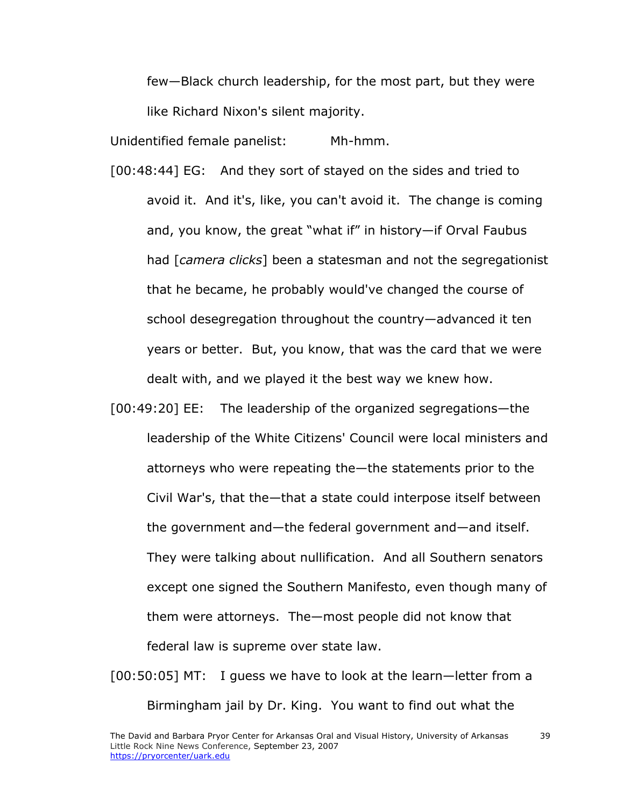few—Black church leadership, for the most part, but they were like Richard Nixon's silent majority.

Unidentified female panelist: Mh-hmm.

- [00:48:44] EG: And they sort of stayed on the sides and tried to avoid it. And it's, like, you can't avoid it. The change is coming and, you know, the great "what if" in history—if Orval Faubus had [*camera clicks*] been a statesman and not the segregationist that he became, he probably would've changed the course of school desegregation throughout the country—advanced it ten years or better. But, you know, that was the card that we were dealt with, and we played it the best way we knew how.
- [00:49:20] EE: The leadership of the organized segregations—the leadership of the White Citizens' Council were local ministers and attorneys who were repeating the—the statements prior to the Civil War's, that the—that a state could interpose itself between the government and—the federal government and—and itself. They were talking about nullification. And all Southern senators except one signed the Southern Manifesto, even though many of them were attorneys. The—most people did not know that federal law is supreme over state law.
- [00:50:05] MT: I guess we have to look at the learn—letter from a Birmingham jail by Dr. King. You want to find out what the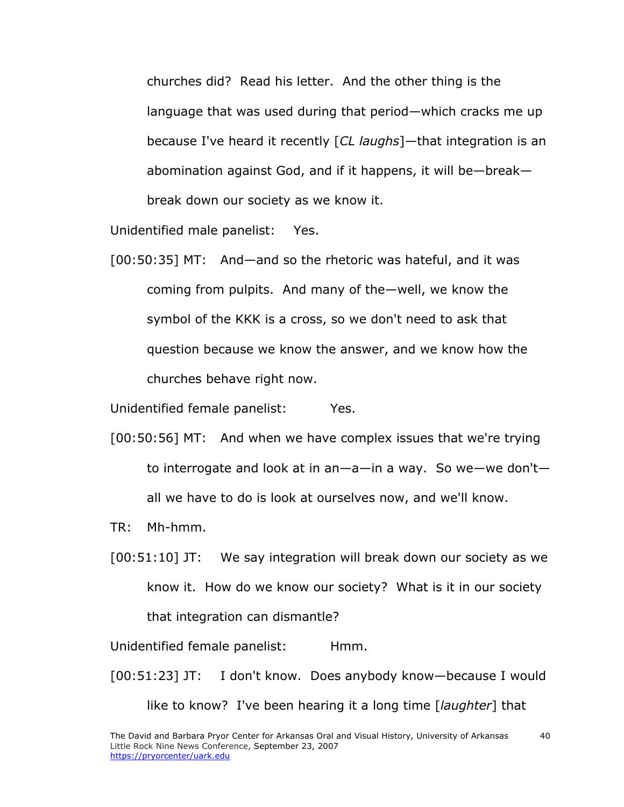churches did? Read his letter. And the other thing is the language that was used during that period—which cracks me up because I've heard it recently [*CL laughs*]—that integration is an abomination against God, and if it happens, it will be—break break down our society as we know it.

Unidentified male panelist: Yes.

[00:50:35] MT: And—and so the rhetoric was hateful, and it was coming from pulpits. And many of the—well, we know the symbol of the KKK is a cross, so we don't need to ask that question because we know the answer, and we know how the churches behave right now.

Unidentified female panelist: Yes.

- [00:50:56] MT: And when we have complex issues that we're trying to interrogate and look at in an—a—in a way. So we—we don't all we have to do is look at ourselves now, and we'll know.
- TR: Mh-hmm.
- [00:51:10] JT: We say integration will break down our society as we know it. How do we know our society? What is it in our society that integration can dismantle?

Unidentified female panelist: Hmm.

[00:51:23] JT: I don't know. Does anybody know—because I would

like to know? I've been hearing it a long time [*laughter*] that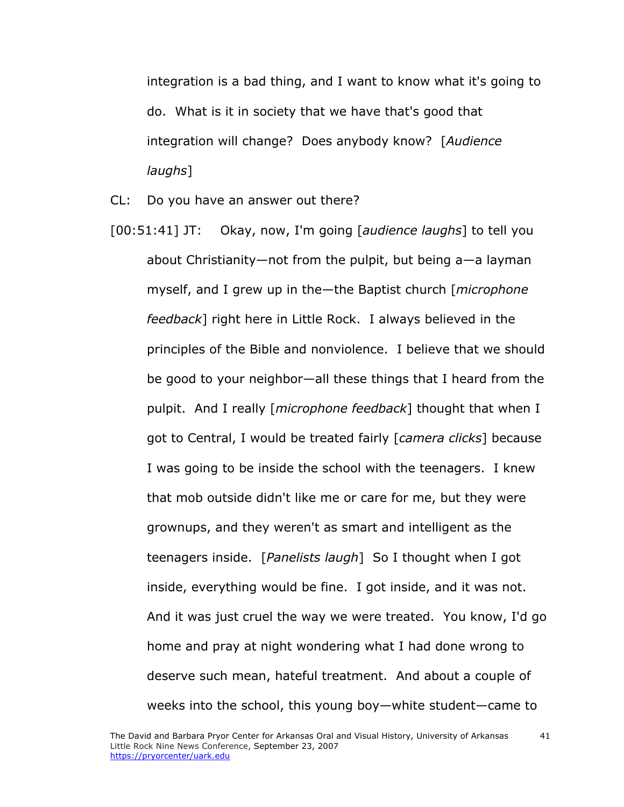integration is a bad thing, and I want to know what it's going to do. What is it in society that we have that's good that integration will change? Does anybody know? [*Audience laughs*]

CL: Do you have an answer out there?

[00:51:41] JT: Okay, now, I'm going [*audience laughs*] to tell you about Christianity—not from the pulpit, but being a—a layman myself, and I grew up in the—the Baptist church [*microphone feedback*] right here in Little Rock. I always believed in the principles of the Bible and nonviolence. I believe that we should be good to your neighbor—all these things that I heard from the pulpit. And I really [*microphone feedback*] thought that when I got to Central, I would be treated fairly [*camera clicks*] because I was going to be inside the school with the teenagers. I knew that mob outside didn't like me or care for me, but they were grownups, and they weren't as smart and intelligent as the teenagers inside. [*Panelists laugh*] So I thought when I got inside, everything would be fine. I got inside, and it was not. And it was just cruel the way we were treated. You know, I'd go home and pray at night wondering what I had done wrong to deserve such mean, hateful treatment. And about a couple of weeks into the school, this young boy—white student—came to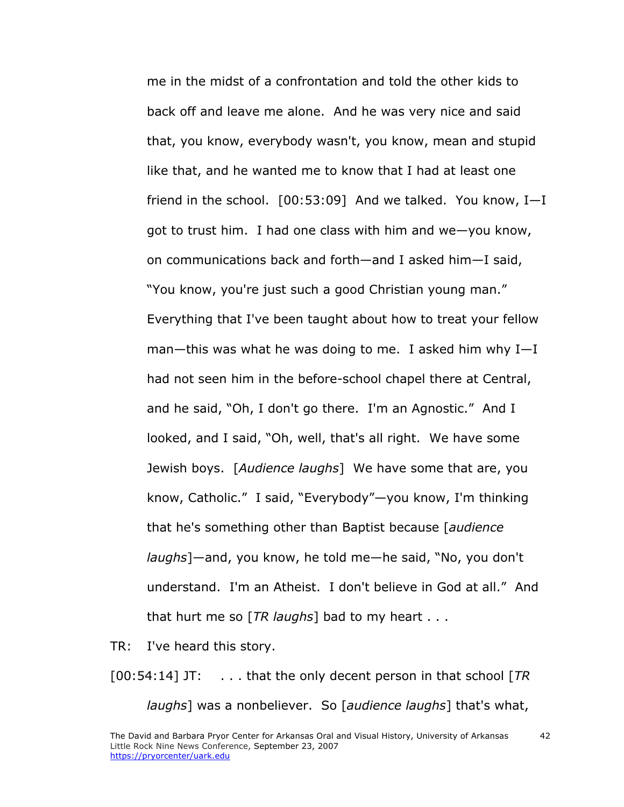me in the midst of a confrontation and told the other kids to back off and leave me alone. And he was very nice and said that, you know, everybody wasn't, you know, mean and stupid like that, and he wanted me to know that I had at least one friend in the school. [00:53:09] And we talked. You know, I—I got to trust him. I had one class with him and we—you know, on communications back and forth—and I asked him—I said, "You know, you're just such a good Christian young man." Everything that I've been taught about how to treat your fellow man—this was what he was doing to me. I asked him why I—I had not seen him in the before-school chapel there at Central, and he said, "Oh, I don't go there. I'm an Agnostic." And I looked, and I said, "Oh, well, that's all right. We have some Jewish boys. [*Audience laughs*] We have some that are, you know, Catholic." I said, "Everybody"—you know, I'm thinking that he's something other than Baptist because [*audience laughs*]—and, you know, he told me—he said, "No, you don't understand. I'm an Atheist. I don't believe in God at all." And that hurt me so [*TR laughs*] bad to my heart . . .

TR: I've heard this story.

[00:54:14] JT: . . . that the only decent person in that school [*TR laughs*] was a nonbeliever. So [*audience laughs*] that's what,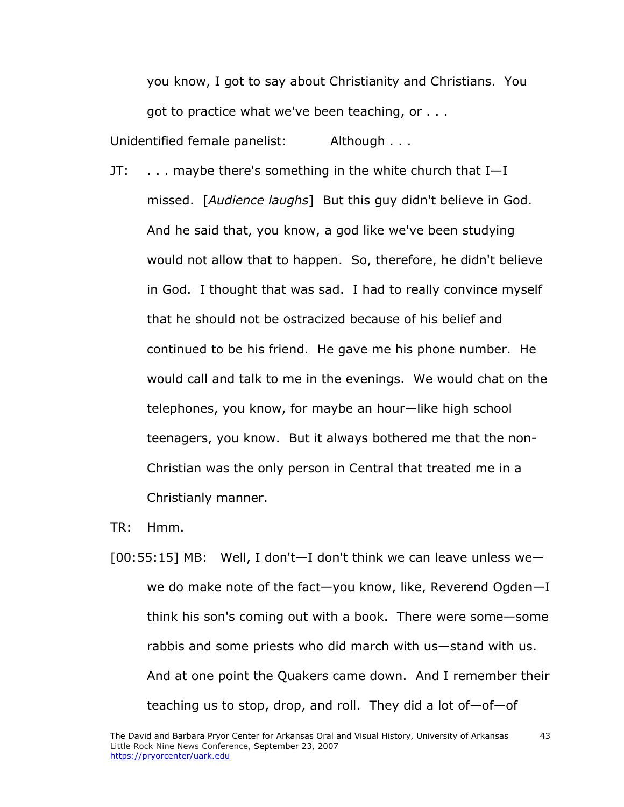you know, I got to say about Christianity and Christians. You got to practice what we've been teaching, or . . .

Unidentified female panelist: Although . . .

JT: . . . maybe there's something in the white church that I—I missed. [*Audience laughs*] But this guy didn't believe in God. And he said that, you know, a god like we've been studying would not allow that to happen. So, therefore, he didn't believe in God. I thought that was sad. I had to really convince myself that he should not be ostracized because of his belief and continued to be his friend. He gave me his phone number. He would call and talk to me in the evenings. We would chat on the telephones, you know, for maybe an hour—like high school teenagers, you know. But it always bothered me that the non-Christian was the only person in Central that treated me in a Christianly manner.

TR: Hmm.

 $[00:55:15]$  MB: Well, I don't-I don't think we can leave unless wewe do make note of the fact—you know, like, Reverend Ogden—I think his son's coming out with a book. There were some—some rabbis and some priests who did march with us—stand with us. And at one point the Quakers came down. And I remember their teaching us to stop, drop, and roll. They did a lot of—of—of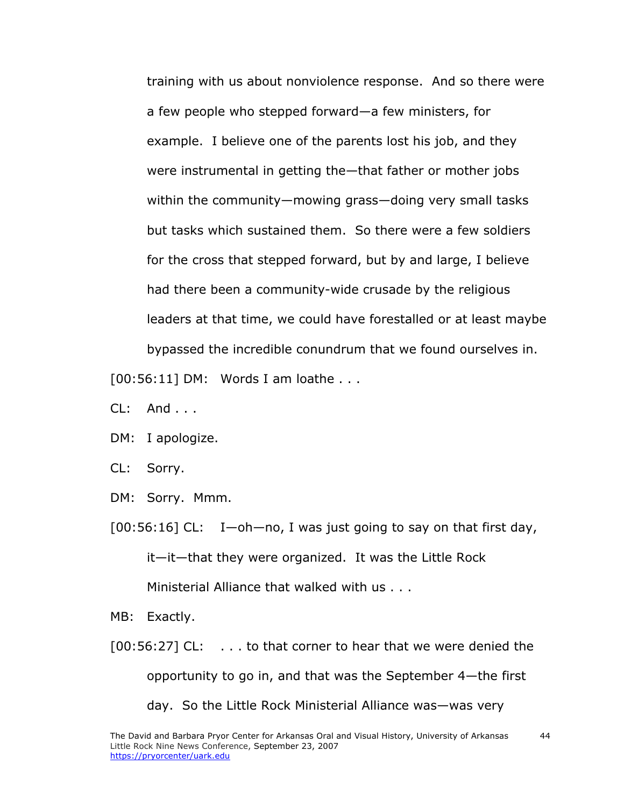training with us about nonviolence response. And so there were a few people who stepped forward—a few ministers, for example. I believe one of the parents lost his job, and they were instrumental in getting the—that father or mother jobs within the community—mowing grass—doing very small tasks but tasks which sustained them. So there were a few soldiers for the cross that stepped forward, but by and large, I believe had there been a community-wide crusade by the religious leaders at that time, we could have forestalled or at least maybe bypassed the incredible conundrum that we found ourselves in.

[00:56:11] DM: Words I am loathe . . .

- $Cl: And...$
- DM: I apologize.
- CL: Sorry.
- DM: Sorry. Mmm.

 $[00:56:16]$  CL: I —oh—no, I was just going to say on that first day, it—it—that they were organized. It was the Little Rock Ministerial Alliance that walked with us . . .

- MB: Exactly.
- [00:56:27] CL: . . . to that corner to hear that we were denied the opportunity to go in, and that was the September 4—the first day. So the Little Rock Ministerial Alliance was—was very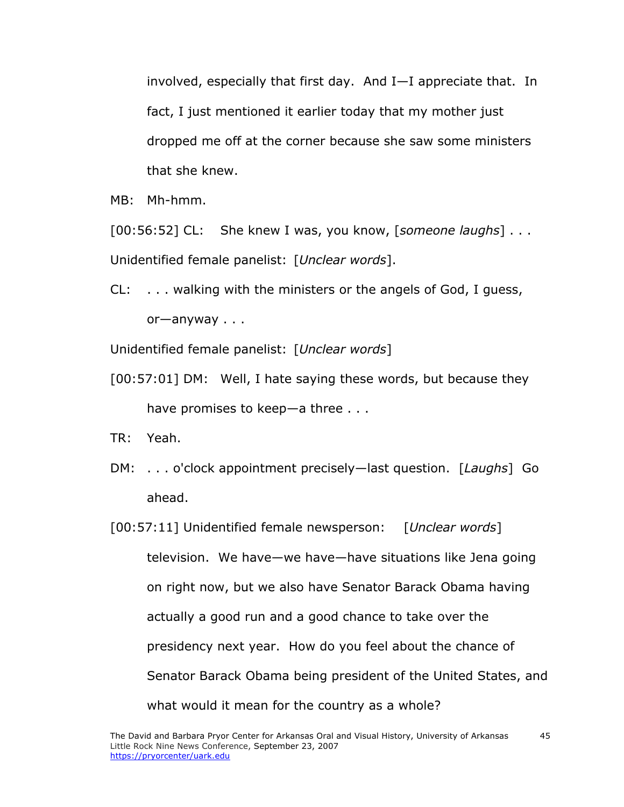involved, especially that first day. And I—I appreciate that. In fact, I just mentioned it earlier today that my mother just dropped me off at the corner because she saw some ministers that she knew.

MB: Mh-hmm.

[00:56:52] CL: She knew I was, you know, [*someone laughs*] . . . Unidentified female panelist: [*Unclear words*].

CL: . . . walking with the ministers or the angels of God, I guess, or—anyway . . .

Unidentified female panelist: [*Unclear words*]

[00:57:01] DM: Well, I hate saying these words, but because they have promises to keep—a three . . .

TR: Yeah.

- DM: . . . o'clock appointment precisely—last question. [*Laughs*] Go ahead.
- [00:57:11] Unidentified female newsperson: [*Unclear words*] television. We have—we have—have situations like Jena going on right now, but we also have Senator Barack Obama having actually a good run and a good chance to take over the presidency next year. How do you feel about the chance of Senator Barack Obama being president of the United States, and what would it mean for the country as a whole?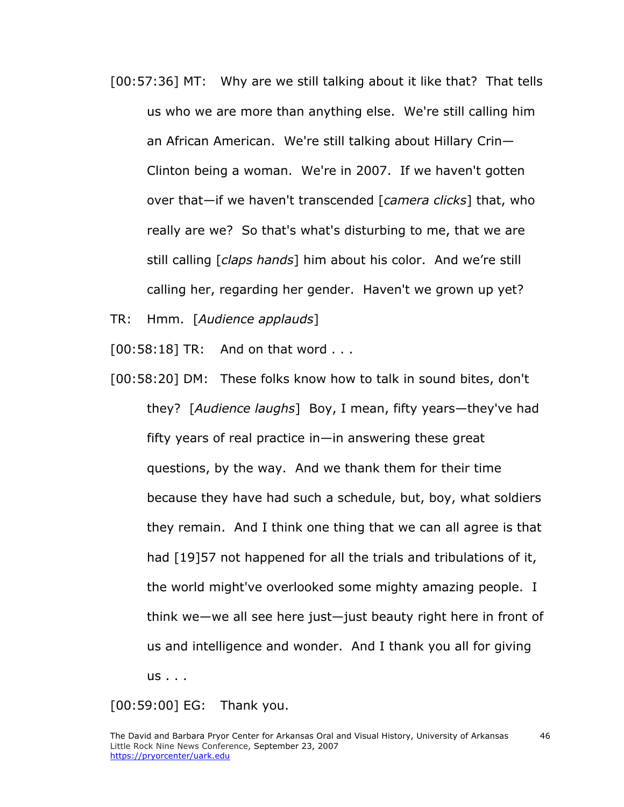[00:57:36] MT: Why are we still talking about it like that? That tells us who we are more than anything else. We're still calling him an African American. We're still talking about Hillary Crin— Clinton being a woman. We're in 2007. If we haven't gotten over that—if we haven't transcended [*camera clicks*] that, who really are we? So that's what's disturbing to me, that we are still calling [*claps hands*] him about his color. And we're still calling her, regarding her gender. Haven't we grown up yet?

TR: Hmm. [*Audience applauds*]

 $[00:58:18]$  TR: And on that word  $\dots$ 

[00:58:20] DM: These folks know how to talk in sound bites, don't they? [*Audience laughs*] Boy, I mean, fifty years—they've had fifty years of real practice in—in answering these great questions, by the way. And we thank them for their time because they have had such a schedule, but, boy, what soldiers they remain. And I think one thing that we can all agree is that had [19]57 not happened for all the trials and tribulations of it, the world might've overlooked some mighty amazing people. I think we—we all see here just—just beauty right here in front of us and intelligence and wonder. And I thank you all for giving us . . .

[00:59:00] EG: Thank you.